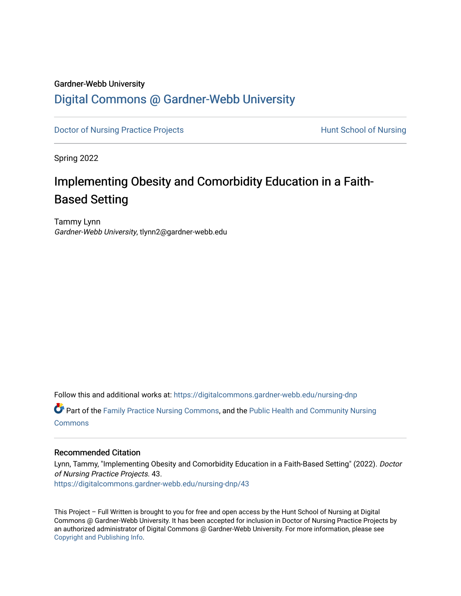#### Gardner-Webb University

## [Digital Commons @ Gardner-Webb University](https://digitalcommons.gardner-webb.edu/)

[Doctor of Nursing Practice Projects](https://digitalcommons.gardner-webb.edu/nursing-dnp) **Exercise Exercise Serverse Hunt School of Nursing** 

Spring 2022

# Implementing Obesity and Comorbidity Education in a Faith-Based Setting

Tammy Lynn Gardner-Webb University, tlynn2@gardner-webb.edu

Follow this and additional works at: [https://digitalcommons.gardner-webb.edu/nursing-dnp](https://digitalcommons.gardner-webb.edu/nursing-dnp?utm_source=digitalcommons.gardner-webb.edu%2Fnursing-dnp%2F43&utm_medium=PDF&utm_campaign=PDFCoverPages) 

Part of the [Family Practice Nursing Commons](https://network.bepress.com/hgg/discipline/720?utm_source=digitalcommons.gardner-webb.edu%2Fnursing-dnp%2F43&utm_medium=PDF&utm_campaign=PDFCoverPages), and the [Public Health and Community Nursing](https://network.bepress.com/hgg/discipline/725?utm_source=digitalcommons.gardner-webb.edu%2Fnursing-dnp%2F43&utm_medium=PDF&utm_campaign=PDFCoverPages) **[Commons](https://network.bepress.com/hgg/discipline/725?utm_source=digitalcommons.gardner-webb.edu%2Fnursing-dnp%2F43&utm_medium=PDF&utm_campaign=PDFCoverPages)** 

#### Recommended Citation

Lynn, Tammy, "Implementing Obesity and Comorbidity Education in a Faith-Based Setting" (2022). Doctor of Nursing Practice Projects. 43. [https://digitalcommons.gardner-webb.edu/nursing-dnp/43](https://digitalcommons.gardner-webb.edu/nursing-dnp/43?utm_source=digitalcommons.gardner-webb.edu%2Fnursing-dnp%2F43&utm_medium=PDF&utm_campaign=PDFCoverPages)

This Project – Full Written is brought to you for free and open access by the Hunt School of Nursing at Digital Commons @ Gardner-Webb University. It has been accepted for inclusion in Doctor of Nursing Practice Projects by an authorized administrator of Digital Commons @ Gardner-Webb University. For more information, please see [Copyright and Publishing Info.](https://digitalcommons.gardner-webb.edu/copyright_publishing.html)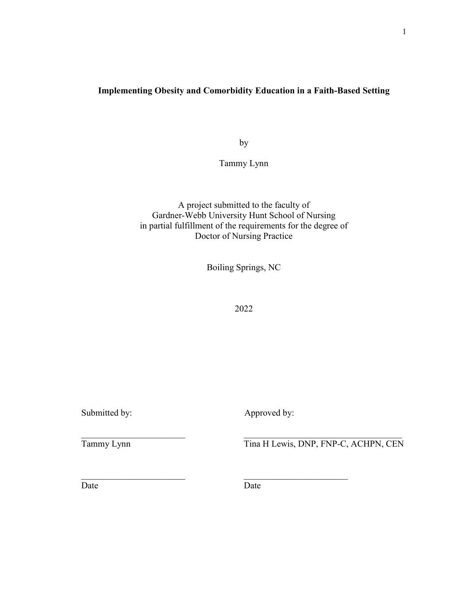### **Implementing Obesity and Comorbidity Education in a Faith-Based Setting**

by

Tammy Lynn

A project submitted to the faculty of Gardner-Webb University Hunt School of Nursing in partial fulfillment of the requirements for the degree of Doctor of Nursing Practice

Boiling Springs, NC

2022

Submitted by: Approved by:

Tammy Lynn Tina H Lewis, DNP, FNP-C, ACHPN, CEN

Date Date Date

 $\mathcal{L}_\text{max}$  , and the contribution of the contribution of the contribution of the contribution of the contribution of the contribution of the contribution of the contribution of the contribution of the contribution of t

 $\mathcal{L}_\mathcal{L}$  , and the contribution of the contribution of  $\mathcal{L}_\mathcal{L}$  , and the contribution of  $\mathcal{L}_\mathcal{L}$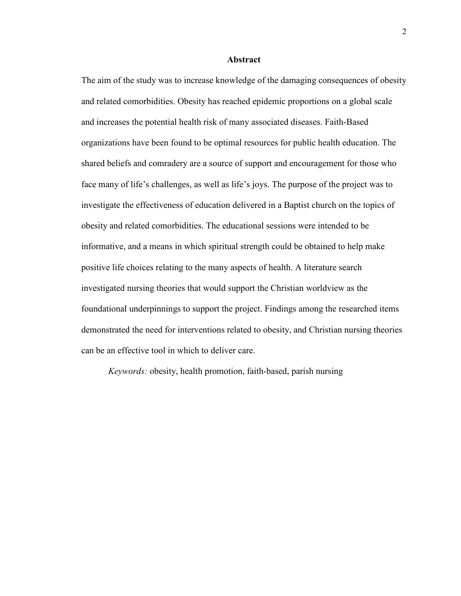#### **Abstract**

The aim of the study was to increase knowledge of the damaging consequences of obesity and related comorbidities. Obesity has reached epidemic proportions on a global scale and increases the potential health risk of many associated diseases. Faith-Based organizations have been found to be optimal resources for public health education. The shared beliefs and comradery are a source of support and encouragement for those who face many of life's challenges, as well as life's joys. The purpose of the project was to investigate the effectiveness of education delivered in a Baptist church on the topics of obesity and related comorbidities. The educational sessions were intended to be informative, and a means in which spiritual strength could be obtained to help make positive life choices relating to the many aspects of health. A literature search investigated nursing theories that would support the Christian worldview as the foundational underpinnings to support the project. Findings among the researched items demonstrated the need for interventions related to obesity, and Christian nursing theories can be an effective tool in which to deliver care.

*Keywords:* obesity, health promotion, faith-based, parish nursing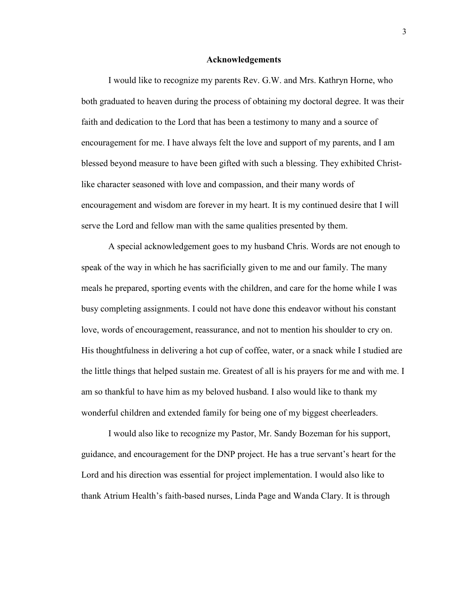#### **Acknowledgements**

I would like to recognize my parents Rev. G.W. and Mrs. Kathryn Horne, who both graduated to heaven during the process of obtaining my doctoral degree. It was their faith and dedication to the Lord that has been a testimony to many and a source of encouragement for me. I have always felt the love and support of my parents, and I am blessed beyond measure to have been gifted with such a blessing. They exhibited Christlike character seasoned with love and compassion, and their many words of encouragement and wisdom are forever in my heart. It is my continued desire that I will serve the Lord and fellow man with the same qualities presented by them.

A special acknowledgement goes to my husband Chris. Words are not enough to speak of the way in which he has sacrificially given to me and our family. The many meals he prepared, sporting events with the children, and care for the home while I was busy completing assignments. I could not have done this endeavor without his constant love, words of encouragement, reassurance, and not to mention his shoulder to cry on. His thoughtfulness in delivering a hot cup of coffee, water, or a snack while I studied are the little things that helped sustain me. Greatest of all is his prayers for me and with me. I am so thankful to have him as my beloved husband. I also would like to thank my wonderful children and extended family for being one of my biggest cheerleaders.

I would also like to recognize my Pastor, Mr. Sandy Bozeman for his support, guidance, and encouragement for the DNP project. He has a true servant's heart for the Lord and his direction was essential for project implementation. I would also like to thank Atrium Health's faith-based nurses, Linda Page and Wanda Clary. It is through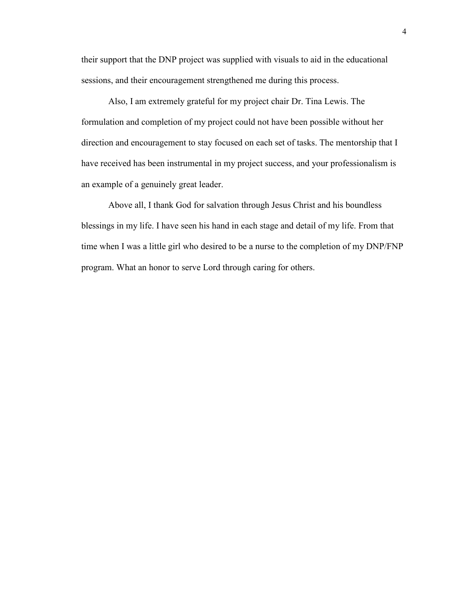their support that the DNP project was supplied with visuals to aid in the educational sessions, and their encouragement strengthened me during this process.

Also, I am extremely grateful for my project chair Dr. Tina Lewis. The formulation and completion of my project could not have been possible without her direction and encouragement to stay focused on each set of tasks. The mentorship that I have received has been instrumental in my project success, and your professionalism is an example of a genuinely great leader.

Above all, I thank God for salvation through Jesus Christ and his boundless blessings in my life. I have seen his hand in each stage and detail of my life. From that time when I was a little girl who desired to be a nurse to the completion of my DNP/FNP program. What an honor to serve Lord through caring for others.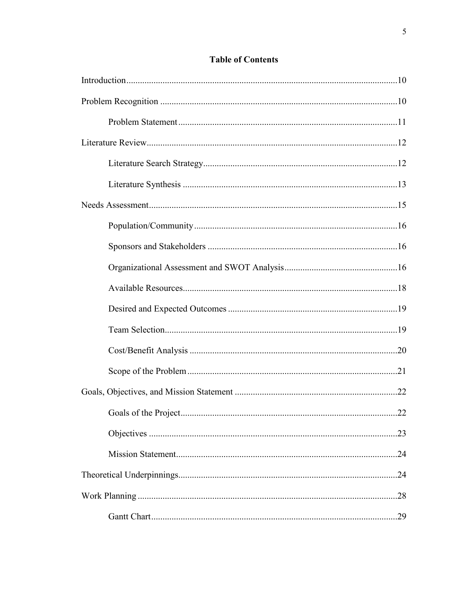### **Table of Contents**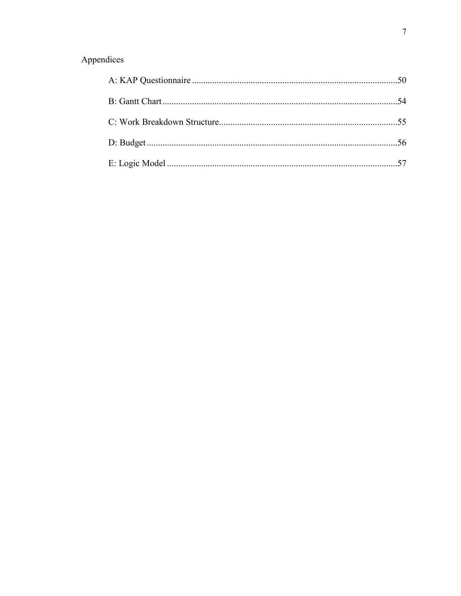# Appendices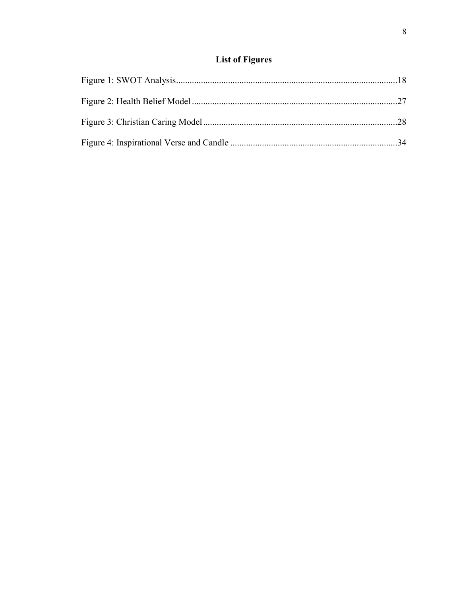## **List of Figures**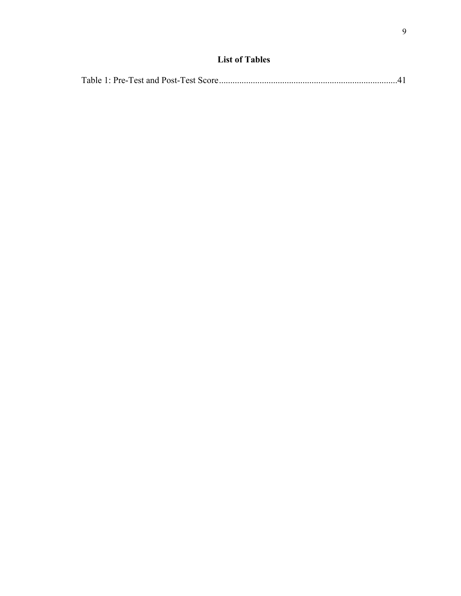## **List of Tables**

|--|--|--|--|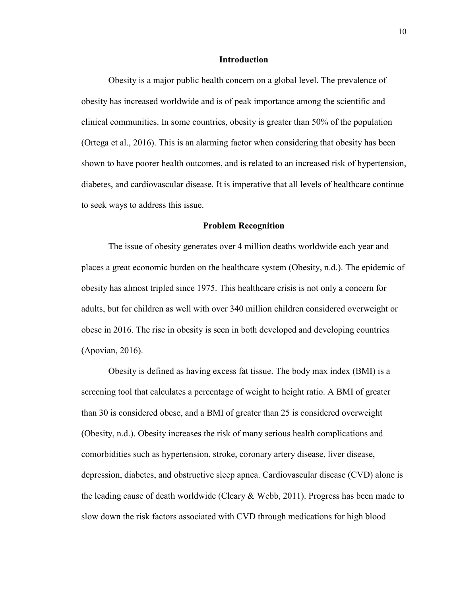#### **Introduction**

Obesity is a major public health concern on a global level. The prevalence of obesity has increased worldwide and is of peak importance among the scientific and clinical communities. In some countries, obesity is greater than 50% of the population (Ortega et al., 2016). This is an alarming factor when considering that obesity has been shown to have poorer health outcomes, and is related to an increased risk of hypertension, diabetes, and cardiovascular disease. It is imperative that all levels of healthcare continue to seek ways to address this issue.

#### **Problem Recognition**

The issue of obesity generates over 4 million deaths worldwide each year and places a great economic burden on the healthcare system (Obesity, n.d.). The epidemic of obesity has almost tripled since 1975. This healthcare crisis is not only a concern for adults, but for children as well with over 340 million children considered overweight or obese in 2016. The rise in obesity is seen in both developed and developing countries (Apovian, 2016).

Obesity is defined as having excess fat tissue. The body max index (BMI) is a screening tool that calculates a percentage of weight to height ratio. A BMI of greater than 30 is considered obese, and a BMI of greater than 25 is considered overweight (Obesity, n.d.). Obesity increases the risk of many serious health complications and comorbidities such as hypertension, stroke, coronary artery disease, liver disease, depression, diabetes, and obstructive sleep apnea. Cardiovascular disease (CVD) alone is the leading cause of death worldwide (Cleary & Webb, 2011). Progress has been made to slow down the risk factors associated with CVD through medications for high blood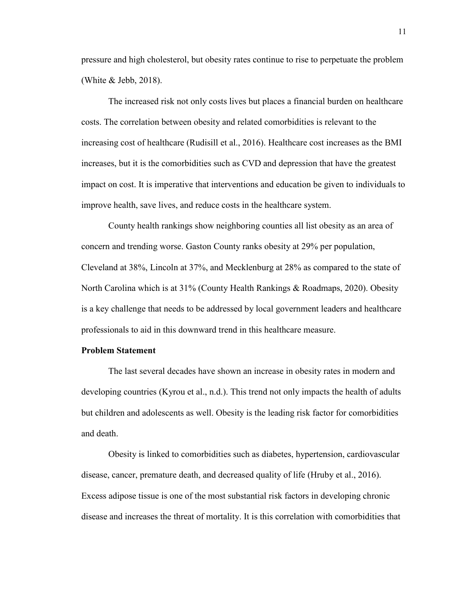pressure and high cholesterol, but obesity rates continue to rise to perpetuate the problem (White & Jebb, 2018).

The increased risk not only costs lives but places a financial burden on healthcare costs. The correlation between obesity and related comorbidities is relevant to the increasing cost of healthcare (Rudisill et al., 2016). Healthcare cost increases as the BMI increases, but it is the comorbidities such as CVD and depression that have the greatest impact on cost. It is imperative that interventions and education be given to individuals to improve health, save lives, and reduce costs in the healthcare system.

County health rankings show neighboring counties all list obesity as an area of concern and trending worse. Gaston County ranks obesity at 29% per population, Cleveland at 38%, Lincoln at 37%, and Mecklenburg at 28% as compared to the state of North Carolina which is at 31% (County Health Rankings & Roadmaps, 2020). Obesity is a key challenge that needs to be addressed by local government leaders and healthcare professionals to aid in this downward trend in this healthcare measure.

#### **Problem Statement**

The last several decades have shown an increase in obesity rates in modern and developing countries (Kyrou et al., n.d.). This trend not only impacts the health of adults but children and adolescents as well. Obesity is the leading risk factor for comorbidities and death.

Obesity is linked to comorbidities such as diabetes, hypertension, cardiovascular disease, cancer, premature death, and decreased quality of life (Hruby et al., 2016). Excess adipose tissue is one of the most substantial risk factors in developing chronic disease and increases the threat of mortality. It is this correlation with comorbidities that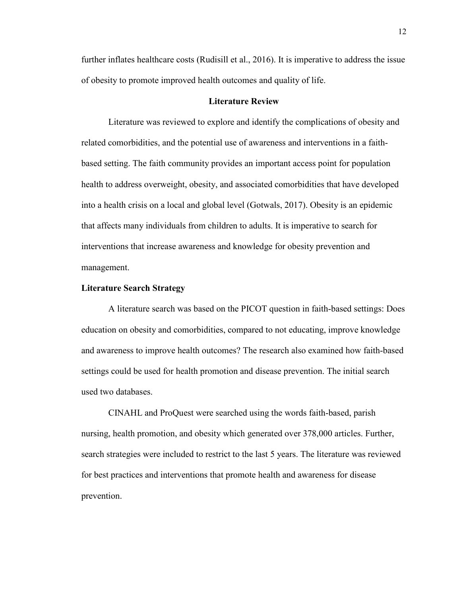further inflates healthcare costs (Rudisill et al., 2016). It is imperative to address the issue of obesity to promote improved health outcomes and quality of life.

#### **Literature Review**

Literature was reviewed to explore and identify the complications of obesity and related comorbidities, and the potential use of awareness and interventions in a faithbased setting. The faith community provides an important access point for population health to address overweight, obesity, and associated comorbidities that have developed into a health crisis on a local and global level (Gotwals, 2017). Obesity is an epidemic that affects many individuals from children to adults. It is imperative to search for interventions that increase awareness and knowledge for obesity prevention and management.

#### **Literature Search Strategy**

A literature search was based on the PICOT question in faith-based settings: Does education on obesity and comorbidities, compared to not educating, improve knowledge and awareness to improve health outcomes? The research also examined how faith-based settings could be used for health promotion and disease prevention. The initial search used two databases.

CINAHL and ProQuest were searched using the words faith-based, parish nursing, health promotion, and obesity which generated over 378,000 articles. Further, search strategies were included to restrict to the last 5 years. The literature was reviewed for best practices and interventions that promote health and awareness for disease prevention.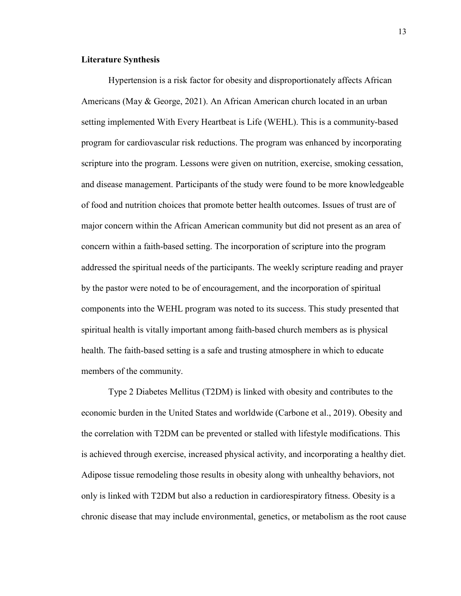### **Literature Synthesis**

Hypertension is a risk factor for obesity and disproportionately affects African Americans (May & George, 2021). An African American church located in an urban setting implemented With Every Heartbeat is Life (WEHL). This is a community-based program for cardiovascular risk reductions. The program was enhanced by incorporating scripture into the program. Lessons were given on nutrition, exercise, smoking cessation, and disease management. Participants of the study were found to be more knowledgeable of food and nutrition choices that promote better health outcomes. Issues of trust are of major concern within the African American community but did not present as an area of concern within a faith-based setting. The incorporation of scripture into the program addressed the spiritual needs of the participants. The weekly scripture reading and prayer by the pastor were noted to be of encouragement, and the incorporation of spiritual components into the WEHL program was noted to its success. This study presented that spiritual health is vitally important among faith-based church members as is physical health. The faith-based setting is a safe and trusting atmosphere in which to educate members of the community.

Type 2 Diabetes Mellitus (T2DM) is linked with obesity and contributes to the economic burden in the United States and worldwide (Carbone et al., 2019). Obesity and the correlation with T2DM can be prevented or stalled with lifestyle modifications. This is achieved through exercise, increased physical activity, and incorporating a healthy diet. Adipose tissue remodeling those results in obesity along with unhealthy behaviors, not only is linked with T2DM but also a reduction in cardiorespiratory fitness. Obesity is a chronic disease that may include environmental, genetics, or metabolism as the root cause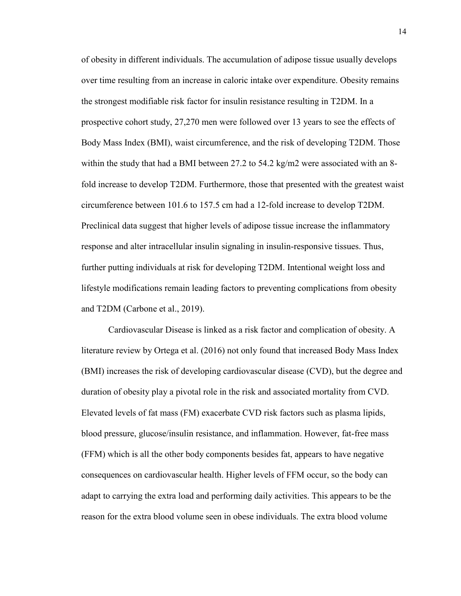of obesity in different individuals. The accumulation of adipose tissue usually develops over time resulting from an increase in caloric intake over expenditure. Obesity remains the strongest modifiable risk factor for insulin resistance resulting in T2DM. In a prospective cohort study, 27,270 men were followed over 13 years to see the effects of Body Mass Index (BMI), waist circumference, and the risk of developing T2DM. Those within the study that had a BMI between 27.2 to 54.2 kg/m2 were associated with an 8fold increase to develop T2DM. Furthermore, those that presented with the greatest waist circumference between 101.6 to 157.5 cm had a 12-fold increase to develop T2DM. Preclinical data suggest that higher levels of adipose tissue increase the inflammatory response and alter intracellular insulin signaling in insulin-responsive tissues. Thus, further putting individuals at risk for developing T2DM. Intentional weight loss and lifestyle modifications remain leading factors to preventing complications from obesity and T2DM (Carbone et al., 2019).

Cardiovascular Disease is linked as a risk factor and complication of obesity. A literature review by Ortega et al. (2016) not only found that increased Body Mass Index (BMI) increases the risk of developing cardiovascular disease (CVD), but the degree and duration of obesity play a pivotal role in the risk and associated mortality from CVD. Elevated levels of fat mass (FM) exacerbate CVD risk factors such as plasma lipids, blood pressure, glucose/insulin resistance, and inflammation. However, fat-free mass (FFM) which is all the other body components besides fat, appears to have negative consequences on cardiovascular health. Higher levels of FFM occur, so the body can adapt to carrying the extra load and performing daily activities. This appears to be the reason for the extra blood volume seen in obese individuals. The extra blood volume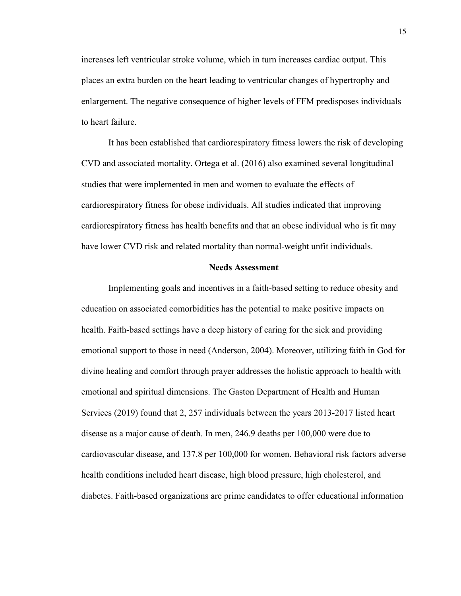increases left ventricular stroke volume, which in turn increases cardiac output. This places an extra burden on the heart leading to ventricular changes of hypertrophy and enlargement. The negative consequence of higher levels of FFM predisposes individuals to heart failure.

It has been established that cardiorespiratory fitness lowers the risk of developing CVD and associated mortality. Ortega et al. (2016) also examined several longitudinal studies that were implemented in men and women to evaluate the effects of cardiorespiratory fitness for obese individuals. All studies indicated that improving cardiorespiratory fitness has health benefits and that an obese individual who is fit may have lower CVD risk and related mortality than normal-weight unfit individuals.

#### **Needs Assessment**

Implementing goals and incentives in a faith-based setting to reduce obesity and education on associated comorbidities has the potential to make positive impacts on health. Faith-based settings have a deep history of caring for the sick and providing emotional support to those in need (Anderson, 2004). Moreover, utilizing faith in God for divine healing and comfort through prayer addresses the holistic approach to health with emotional and spiritual dimensions. The Gaston Department of Health and Human Services (2019) found that 2, 257 individuals between the years 2013-2017 listed heart disease as a major cause of death. In men, 246.9 deaths per 100,000 were due to cardiovascular disease, and 137.8 per 100,000 for women. Behavioral risk factors adverse health conditions included heart disease, high blood pressure, high cholesterol, and diabetes. Faith-based organizations are prime candidates to offer educational information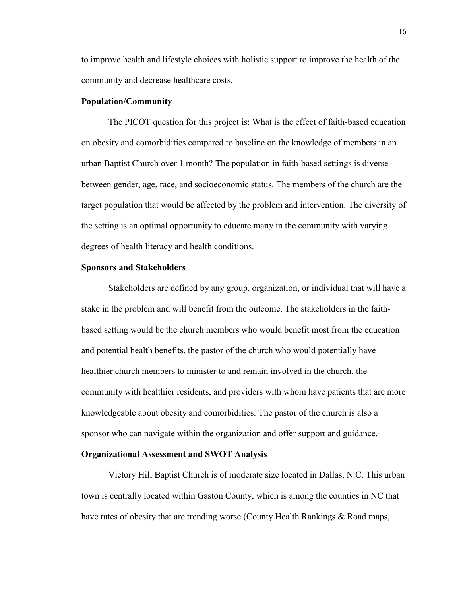to improve health and lifestyle choices with holistic support to improve the health of the community and decrease healthcare costs.

#### **Population/Community**

The PICOT question for this project is: What is the effect of faith-based education on obesity and comorbidities compared to baseline on the knowledge of members in an urban Baptist Church over 1 month? The population in faith-based settings is diverse between gender, age, race, and socioeconomic status. The members of the church are the target population that would be affected by the problem and intervention. The diversity of the setting is an optimal opportunity to educate many in the community with varying degrees of health literacy and health conditions.

#### **Sponsors and Stakeholders**

Stakeholders are defined by any group, organization, or individual that will have a stake in the problem and will benefit from the outcome. The stakeholders in the faithbased setting would be the church members who would benefit most from the education and potential health benefits, the pastor of the church who would potentially have healthier church members to minister to and remain involved in the church, the community with healthier residents, and providers with whom have patients that are more knowledgeable about obesity and comorbidities. The pastor of the church is also a sponsor who can navigate within the organization and offer support and guidance.

#### **Organizational Assessment and SWOT Analysis**

Victory Hill Baptist Church is of moderate size located in Dallas, N.C. This urban town is centrally located within Gaston County, which is among the counties in NC that have rates of obesity that are trending worse (County Health Rankings & Road maps,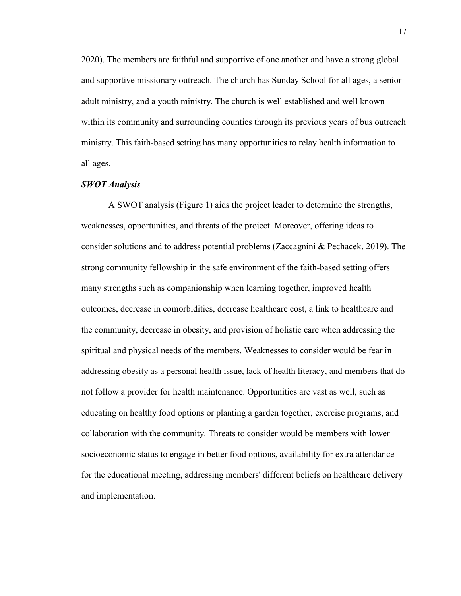2020). The members are faithful and supportive of one another and have a strong global and supportive missionary outreach. The church has Sunday School for all ages, a senior adult ministry, and a youth ministry. The church is well established and well known within its community and surrounding counties through its previous years of bus outreach ministry. This faith-based setting has many opportunities to relay health information to all ages.

#### *SWOT Analysis*

A SWOT analysis (Figure 1) aids the project leader to determine the strengths, weaknesses, opportunities, and threats of the project. Moreover, offering ideas to consider solutions and to address potential problems (Zaccagnini & Pechacek, 2019). The strong community fellowship in the safe environment of the faith-based setting offers many strengths such as companionship when learning together, improved health outcomes, decrease in comorbidities, decrease healthcare cost, a link to healthcare and the community, decrease in obesity, and provision of holistic care when addressing the spiritual and physical needs of the members. Weaknesses to consider would be fear in addressing obesity as a personal health issue, lack of health literacy, and members that do not follow a provider for health maintenance. Opportunities are vast as well, such as educating on healthy food options or planting a garden together, exercise programs, and collaboration with the community. Threats to consider would be members with lower socioeconomic status to engage in better food options, availability for extra attendance for the educational meeting, addressing members' different beliefs on healthcare delivery and implementation.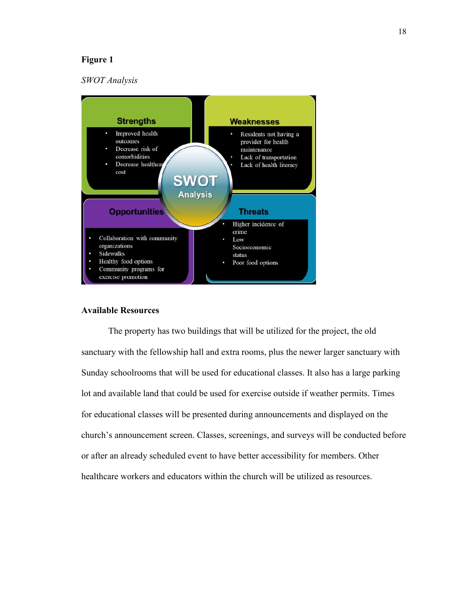#### **Figure 1**

#### *SWOT Analysis*



#### **Available Resources**

The property has two buildings that will be utilized for the project, the old sanctuary with the fellowship hall and extra rooms, plus the newer larger sanctuary with Sunday schoolrooms that will be used for educational classes. It also has a large parking lot and available land that could be used for exercise outside if weather permits. Times for educational classes will be presented during announcements and displayed on the church's announcement screen. Classes, screenings, and surveys will be conducted before or after an already scheduled event to have better accessibility for members. Other healthcare workers and educators within the church will be utilized as resources.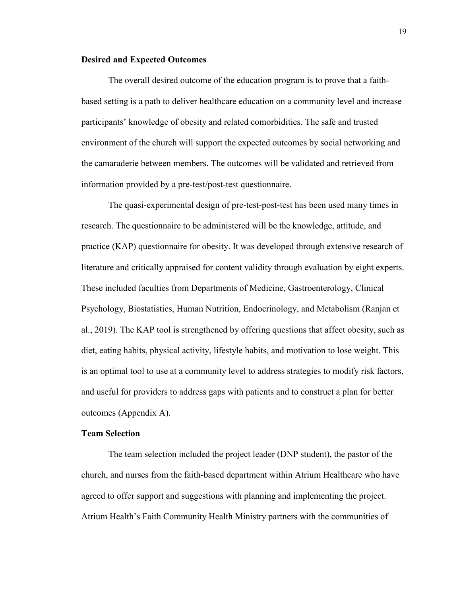#### **Desired and Expected Outcomes**

The overall desired outcome of the education program is to prove that a faithbased setting is a path to deliver healthcare education on a community level and increase participants' knowledge of obesity and related comorbidities. The safe and trusted environment of the church will support the expected outcomes by social networking and the camaraderie between members. The outcomes will be validated and retrieved from information provided by a pre-test/post-test questionnaire.

The quasi-experimental design of pre-test-post-test has been used many times in research. The questionnaire to be administered will be the knowledge, attitude, and practice (KAP) questionnaire for obesity. It was developed through extensive research of literature and critically appraised for content validity through evaluation by eight experts. These included faculties from Departments of Medicine, Gastroenterology, Clinical Psychology, Biostatistics, Human Nutrition, Endocrinology, and Metabolism (Ranjan et al., 2019). The KAP tool is strengthened by offering questions that affect obesity, such as diet, eating habits, physical activity, lifestyle habits, and motivation to lose weight. This is an optimal tool to use at a community level to address strategies to modify risk factors, and useful for providers to address gaps with patients and to construct a plan for better outcomes (Appendix A).

#### **Team Selection**

The team selection included the project leader (DNP student), the pastor of the church, and nurses from the faith-based department within Atrium Healthcare who have agreed to offer support and suggestions with planning and implementing the project. Atrium Health's Faith Community Health Ministry partners with the communities of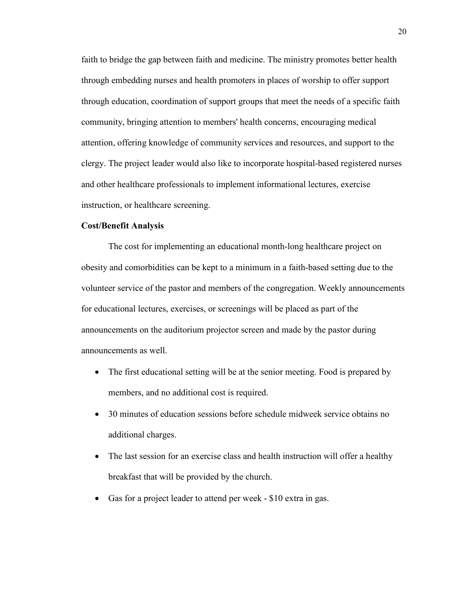faith to bridge the gap between faith and medicine. The ministry promotes better health through embedding nurses and health promoters in places of worship to offer support through education, coordination of support groups that meet the needs of a specific faith community, bringing attention to members' health concerns, encouraging medical attention, offering knowledge of community services and resources, and support to the clergy. The project leader would also like to incorporate hospital-based registered nurses and other healthcare professionals to implement informational lectures, exercise instruction, or healthcare screening.

#### **Cost/Benefit Analysis**

The cost for implementing an educational month-long healthcare project on obesity and comorbidities can be kept to a minimum in a faith-based setting due to the volunteer service of the pastor and members of the congregation. Weekly announcements for educational lectures, exercises, or screenings will be placed as part of the announcements on the auditorium projector screen and made by the pastor during announcements as well.

- The first educational setting will be at the senior meeting. Food is prepared by members, and no additional cost is required.
- 30 minutes of education sessions before schedule midweek service obtains no additional charges.
- The last session for an exercise class and health instruction will offer a healthy breakfast that will be provided by the church.
- Gas for a project leader to attend per week \$10 extra in gas.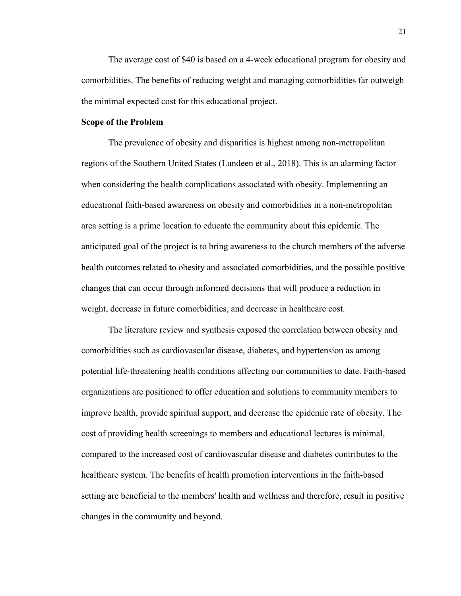The average cost of \$40 is based on a 4-week educational program for obesity and comorbidities. The benefits of reducing weight and managing comorbidities far outweigh the minimal expected cost for this educational project.

#### **Scope of the Problem**

The prevalence of obesity and disparities is highest among non-metropolitan regions of the Southern United States (Lundeen et al., 2018). This is an alarming factor when considering the health complications associated with obesity. Implementing an educational faith-based awareness on obesity and comorbidities in a non-metropolitan area setting is a prime location to educate the community about this epidemic. The anticipated goal of the project is to bring awareness to the church members of the adverse health outcomes related to obesity and associated comorbidities, and the possible positive changes that can occur through informed decisions that will produce a reduction in weight, decrease in future comorbidities, and decrease in healthcare cost.

The literature review and synthesis exposed the correlation between obesity and comorbidities such as cardiovascular disease, diabetes, and hypertension as among potential life-threatening health conditions affecting our communities to date. Faith-based organizations are positioned to offer education and solutions to community members to improve health, provide spiritual support, and decrease the epidemic rate of obesity. The cost of providing health screenings to members and educational lectures is minimal, compared to the increased cost of cardiovascular disease and diabetes contributes to the healthcare system. The benefits of health promotion interventions in the faith-based setting are beneficial to the members' health and wellness and therefore, result in positive changes in the community and beyond.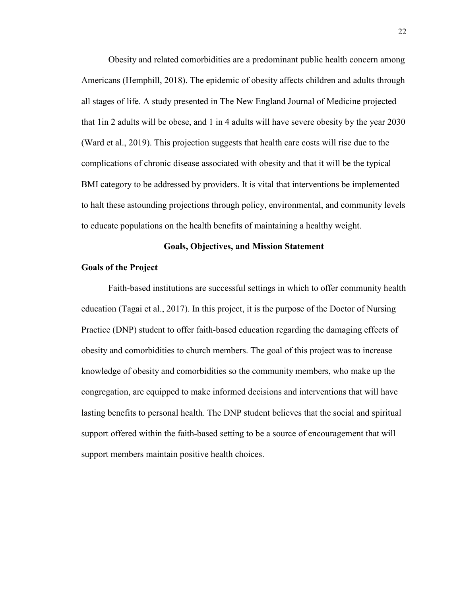Obesity and related comorbidities are a predominant public health concern among Americans (Hemphill, 2018). The epidemic of obesity affects children and adults through all stages of life. A study presented in The New England Journal of Medicine projected that 1in 2 adults will be obese, and 1 in 4 adults will have severe obesity by the year 2030 (Ward et al., 2019). This projection suggests that health care costs will rise due to the complications of chronic disease associated with obesity and that it will be the typical BMI category to be addressed by providers. It is vital that interventions be implemented to halt these astounding projections through policy, environmental, and community levels to educate populations on the health benefits of maintaining a healthy weight.

#### **Goals, Objectives, and Mission Statement**

#### **Goals of the Project**

Faith-based institutions are successful settings in which to offer community health education (Tagai et al., 2017). In this project, it is the purpose of the Doctor of Nursing Practice (DNP) student to offer faith-based education regarding the damaging effects of obesity and comorbidities to church members. The goal of this project was to increase knowledge of obesity and comorbidities so the community members, who make up the congregation, are equipped to make informed decisions and interventions that will have lasting benefits to personal health. The DNP student believes that the social and spiritual support offered within the faith-based setting to be a source of encouragement that will support members maintain positive health choices.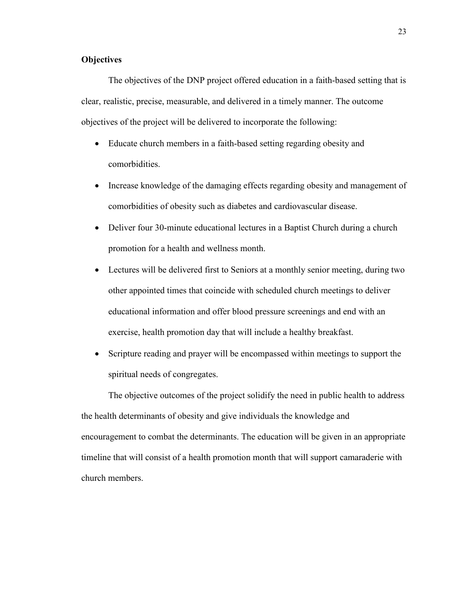#### **Objectives**

The objectives of the DNP project offered education in a faith-based setting that is clear, realistic, precise, measurable, and delivered in a timely manner. The outcome objectives of the project will be delivered to incorporate the following:

- Educate church members in a faith-based setting regarding obesity and comorbidities.
- Increase knowledge of the damaging effects regarding obesity and management of comorbidities of obesity such as diabetes and cardiovascular disease.
- Deliver four 30-minute educational lectures in a Baptist Church during a church promotion for a health and wellness month.
- Lectures will be delivered first to Seniors at a monthly senior meeting, during two other appointed times that coincide with scheduled church meetings to deliver educational information and offer blood pressure screenings and end with an exercise, health promotion day that will include a healthy breakfast.
- Scripture reading and prayer will be encompassed within meetings to support the spiritual needs of congregates.

The objective outcomes of the project solidify the need in public health to address the health determinants of obesity and give individuals the knowledge and encouragement to combat the determinants. The education will be given in an appropriate timeline that will consist of a health promotion month that will support camaraderie with church members.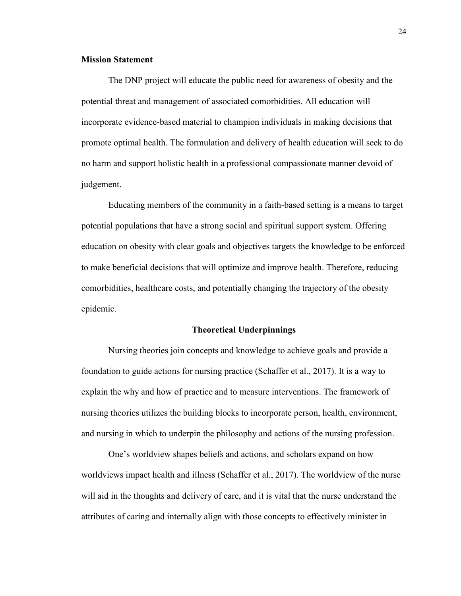#### **Mission Statement**

The DNP project will educate the public need for awareness of obesity and the potential threat and management of associated comorbidities. All education will incorporate evidence-based material to champion individuals in making decisions that promote optimal health. The formulation and delivery of health education will seek to do no harm and support holistic health in a professional compassionate manner devoid of judgement.

Educating members of the community in a faith-based setting is a means to target potential populations that have a strong social and spiritual support system. Offering education on obesity with clear goals and objectives targets the knowledge to be enforced to make beneficial decisions that will optimize and improve health. Therefore, reducing comorbidities, healthcare costs, and potentially changing the trajectory of the obesity epidemic.

#### **Theoretical Underpinnings**

Nursing theories join concepts and knowledge to achieve goals and provide a foundation to guide actions for nursing practice (Schaffer et al., 2017). It is a way to explain the why and how of practice and to measure interventions. The framework of nursing theories utilizes the building blocks to incorporate person, health, environment, and nursing in which to underpin the philosophy and actions of the nursing profession.

One's worldview shapes beliefs and actions, and scholars expand on how worldviews impact health and illness (Schaffer et al., 2017). The worldview of the nurse will aid in the thoughts and delivery of care, and it is vital that the nurse understand the attributes of caring and internally align with those concepts to effectively minister in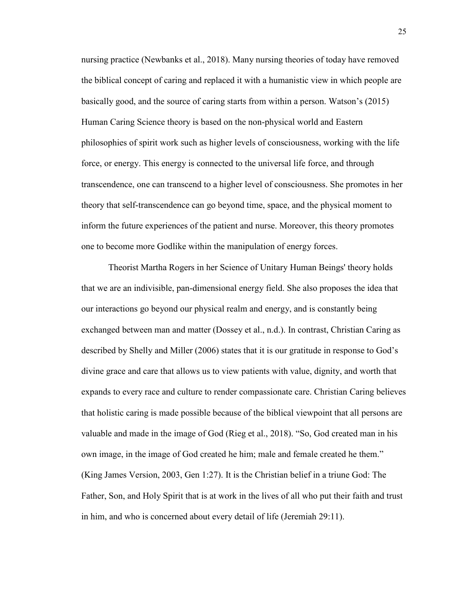nursing practice (Newbanks et al., 2018). Many nursing theories of today have removed the biblical concept of caring and replaced it with a humanistic view in which people are basically good, and the source of caring starts from within a person. Watson's (2015) Human Caring Science theory is based on the non-physical world and Eastern philosophies of spirit work such as higher levels of consciousness, working with the life force, or energy. This energy is connected to the universal life force, and through transcendence, one can transcend to a higher level of consciousness. She promotes in her theory that self-transcendence can go beyond time, space, and the physical moment to inform the future experiences of the patient and nurse. Moreover, this theory promotes one to become more Godlike within the manipulation of energy forces.

Theorist Martha Rogers in her Science of Unitary Human Beings' theory holds that we are an indivisible, pan-dimensional energy field. She also proposes the idea that our interactions go beyond our physical realm and energy, and is constantly being exchanged between man and matter (Dossey et al., n.d.). In contrast, Christian Caring as described by Shelly and Miller (2006) states that it is our gratitude in response to God's divine grace and care that allows us to view patients with value, dignity, and worth that expands to every race and culture to render compassionate care. Christian Caring believes that holistic caring is made possible because of the biblical viewpoint that all persons are valuable and made in the image of God (Rieg et al., 2018). "So, God created man in his own image, in the image of God created he him; male and female created he them." (King James Version, 2003, Gen 1:27). It is the Christian belief in a triune God: The Father, Son, and Holy Spirit that is at work in the lives of all who put their faith and trust in him, and who is concerned about every detail of life (Jeremiah 29:11).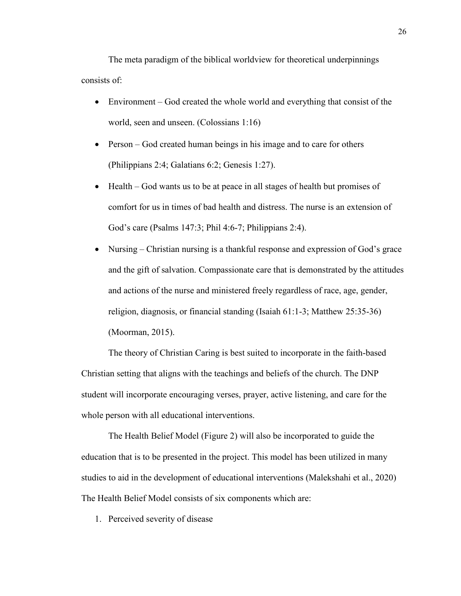The meta paradigm of the biblical worldview for theoretical underpinnings consists of:

- Environment God created the whole world and everything that consist of the world, seen and unseen. (Colossians 1:16)
- Person God created human beings in his image and to care for others (Philippians 2:4; Galatians 6:2; Genesis 1:27).
- Health God wants us to be at peace in all stages of health but promises of comfort for us in times of bad health and distress. The nurse is an extension of God's care (Psalms 147:3; Phil 4:6-7; Philippians 2:4).
- Nursing Christian nursing is a thankful response and expression of God's grace and the gift of salvation. Compassionate care that is demonstrated by the attitudes and actions of the nurse and ministered freely regardless of race, age, gender, religion, diagnosis, or financial standing (Isaiah 61:1-3; Matthew 25:35-36) (Moorman, 2015).

The theory of Christian Caring is best suited to incorporate in the faith-based Christian setting that aligns with the teachings and beliefs of the church. The DNP student will incorporate encouraging verses, prayer, active listening, and care for the whole person with all educational interventions.

The Health Belief Model (Figure 2) will also be incorporated to guide the education that is to be presented in the project. This model has been utilized in many studies to aid in the development of educational interventions (Malekshahi et al., 2020) The Health Belief Model consists of six components which are:

1. Perceived severity of disease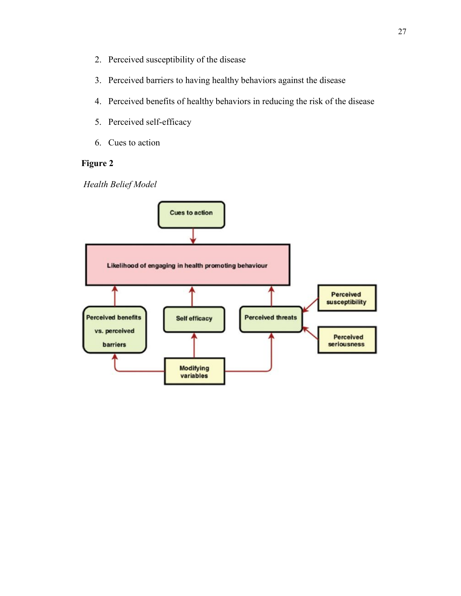- 2. Perceived susceptibility of the disease
- 3. Perceived barriers to having healthy behaviors against the disease
- 4. Perceived benefits of healthy behaviors in reducing the risk of the disease
- 5. Perceived self-efficacy
- 6. Cues to action

### **Figure 2**

*Health Belief Model*

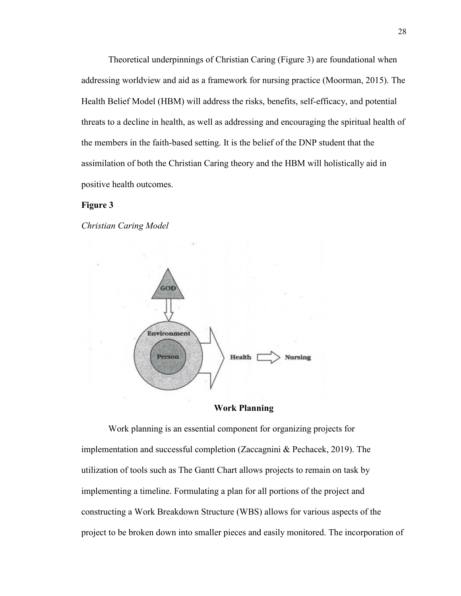Theoretical underpinnings of Christian Caring (Figure 3) are foundational when addressing worldview and aid as a framework for nursing practice (Moorman, 2015). The Health Belief Model (HBM) will address the risks, benefits, self-efficacy, and potential threats to a decline in health, as well as addressing and encouraging the spiritual health of the members in the faith-based setting. It is the belief of the DNP student that the assimilation of both the Christian Caring theory and the HBM will holistically aid in positive health outcomes.

#### **Figure 3**

*Christian Caring Model*



**Work Planning**

Work planning is an essential component for organizing projects for implementation and successful completion (Zaccagnini & Pechacek, 2019). The utilization of tools such as The Gantt Chart allows projects to remain on task by implementing a timeline. Formulating a plan for all portions of the project and constructing a Work Breakdown Structure (WBS) allows for various aspects of the project to be broken down into smaller pieces and easily monitored. The incorporation of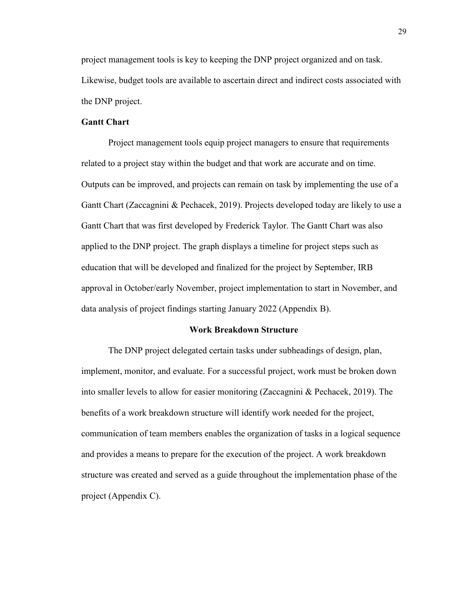project management tools is key to keeping the DNP project organized and on task. Likewise, budget tools are available to ascertain direct and indirect costs associated with the DNP project.

#### **Gantt Chart**

Project management tools equip project managers to ensure that requirements related to a project stay within the budget and that work are accurate and on time. Outputs can be improved, and projects can remain on task by implementing the use of a Gantt Chart (Zaccagnini & Pechacek, 2019). Projects developed today are likely to use a Gantt Chart that was first developed by Frederick Taylor. The Gantt Chart was also applied to the DNP project. The graph displays a timeline for project steps such as education that will be developed and finalized for the project by September, IRB approval in October/early November, project implementation to start in November, and data analysis of project findings starting January 2022 (Appendix B).

#### **Work Breakdown Structure**

The DNP project delegated certain tasks under subheadings of design, plan, implement, monitor, and evaluate. For a successful project, work must be broken down into smaller levels to allow for easier monitoring (Zaccagnini & Pechacek, 2019). The benefits of a work breakdown structure will identify work needed for the project, communication of team members enables the organization of tasks in a logical sequence and provides a means to prepare for the execution of the project. A work breakdown structure was created and served as a guide throughout the implementation phase of the project (Appendix C).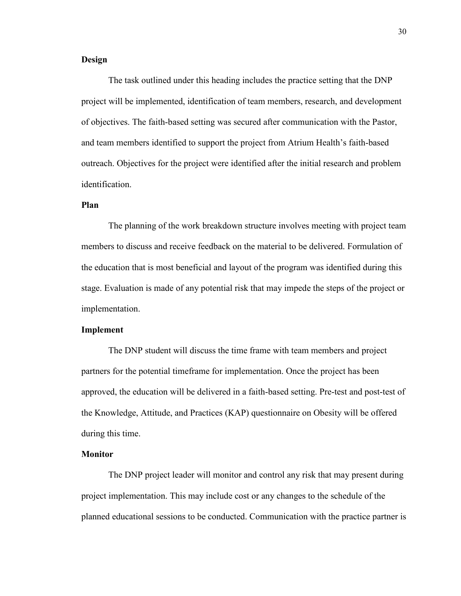#### **Design**

The task outlined under this heading includes the practice setting that the DNP project will be implemented, identification of team members, research, and development of objectives. The faith-based setting was secured after communication with the Pastor, and team members identified to support the project from Atrium Health's faith-based outreach. Objectives for the project were identified after the initial research and problem identification.

#### **Plan**

The planning of the work breakdown structure involves meeting with project team members to discuss and receive feedback on the material to be delivered. Formulation of the education that is most beneficial and layout of the program was identified during this stage. Evaluation is made of any potential risk that may impede the steps of the project or implementation.

#### **Implement**

The DNP student will discuss the time frame with team members and project partners for the potential timeframe for implementation. Once the project has been approved, the education will be delivered in a faith-based setting. Pre-test and post-test of the Knowledge, Attitude, and Practices (KAP) questionnaire on Obesity will be offered during this time.

#### **Monitor**

The DNP project leader will monitor and control any risk that may present during project implementation. This may include cost or any changes to the schedule of the planned educational sessions to be conducted. Communication with the practice partner is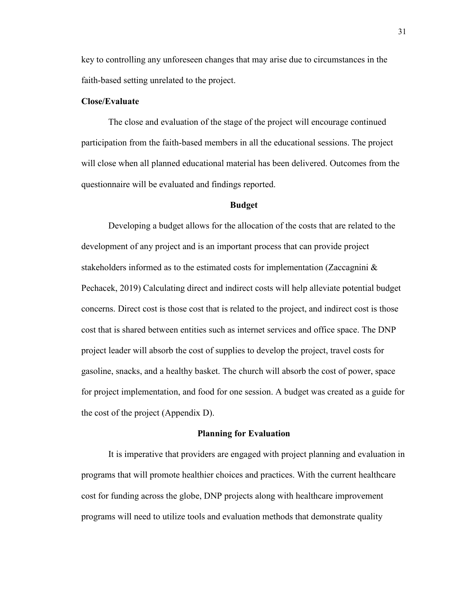key to controlling any unforeseen changes that may arise due to circumstances in the faith-based setting unrelated to the project.

#### **Close/Evaluate**

The close and evaluation of the stage of the project will encourage continued participation from the faith-based members in all the educational sessions. The project will close when all planned educational material has been delivered. Outcomes from the questionnaire will be evaluated and findings reported.

#### **Budget**

Developing a budget allows for the allocation of the costs that are related to the development of any project and is an important process that can provide project stakeholders informed as to the estimated costs for implementation (Zaccagnini & Pechacek, 2019) Calculating direct and indirect costs will help alleviate potential budget concerns. Direct cost is those cost that is related to the project, and indirect cost is those cost that is shared between entities such as internet services and office space. The DNP project leader will absorb the cost of supplies to develop the project, travel costs for gasoline, snacks, and a healthy basket. The church will absorb the cost of power, space for project implementation, and food for one session. A budget was created as a guide for the cost of the project (Appendix D).

#### **Planning for Evaluation**

It is imperative that providers are engaged with project planning and evaluation in programs that will promote healthier choices and practices. With the current healthcare cost for funding across the globe, DNP projects along with healthcare improvement programs will need to utilize tools and evaluation methods that demonstrate quality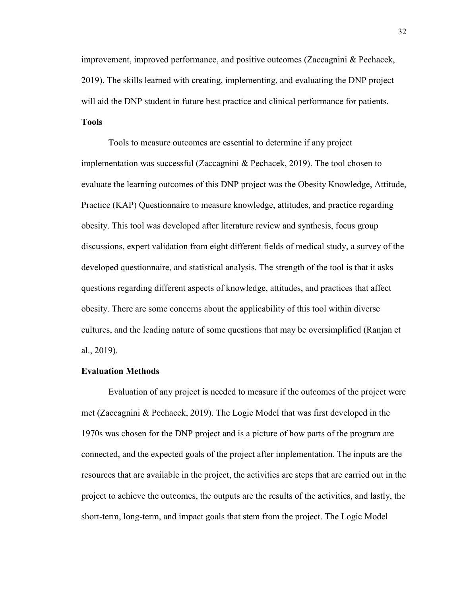improvement, improved performance, and positive outcomes (Zaccagnini & Pechacek, 2019). The skills learned with creating, implementing, and evaluating the DNP project will aid the DNP student in future best practice and clinical performance for patients.

### **Tools**

Tools to measure outcomes are essential to determine if any project implementation was successful (Zaccagnini & Pechacek, 2019). The tool chosen to evaluate the learning outcomes of this DNP project was the Obesity Knowledge, Attitude, Practice (KAP) Questionnaire to measure knowledge, attitudes, and practice regarding obesity. This tool was developed after literature review and synthesis, focus group discussions, expert validation from eight different fields of medical study, a survey of the developed questionnaire, and statistical analysis. The strength of the tool is that it asks questions regarding different aspects of knowledge, attitudes, and practices that affect obesity. There are some concerns about the applicability of this tool within diverse cultures, and the leading nature of some questions that may be oversimplified (Ranjan et al., 2019).

#### **Evaluation Methods**

Evaluation of any project is needed to measure if the outcomes of the project were met (Zaccagnini & Pechacek, 2019). The Logic Model that was first developed in the 1970s was chosen for the DNP project and is a picture of how parts of the program are connected, and the expected goals of the project after implementation. The inputs are the resources that are available in the project, the activities are steps that are carried out in the project to achieve the outcomes, the outputs are the results of the activities, and lastly, the short-term, long-term, and impact goals that stem from the project. The Logic Model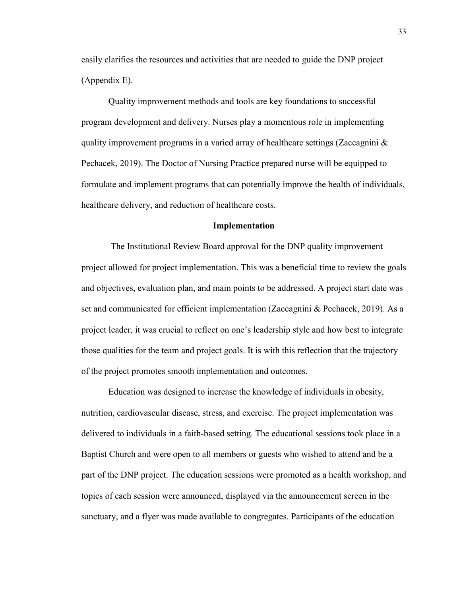easily clarifies the resources and activities that are needed to guide the DNP project (Appendix E).

Quality improvement methods and tools are key foundations to successful program development and delivery. Nurses play a momentous role in implementing quality improvement programs in a varied array of healthcare settings (Zaccagnini  $\&$ Pechacek, 2019). The Doctor of Nursing Practice prepared nurse will be equipped to formulate and implement programs that can potentially improve the health of individuals, healthcare delivery, and reduction of healthcare costs.

#### **Implementation**

The Institutional Review Board approval for the DNP quality improvement project allowed for project implementation. This was a beneficial time to review the goals and objectives, evaluation plan, and main points to be addressed. A project start date was set and communicated for efficient implementation (Zaccagnini & Pechacek, 2019). As a project leader, it was crucial to reflect on one's leadership style and how best to integrate those qualities for the team and project goals. It is with this reflection that the trajectory of the project promotes smooth implementation and outcomes.

Education was designed to increase the knowledge of individuals in obesity, nutrition, cardiovascular disease, stress, and exercise. The project implementation was delivered to individuals in a faith-based setting. The educational sessions took place in a Baptist Church and were open to all members or guests who wished to attend and be a part of the DNP project. The education sessions were promoted as a health workshop, and topics of each session were announced, displayed via the announcement screen in the sanctuary, and a flyer was made available to congregates. Participants of the education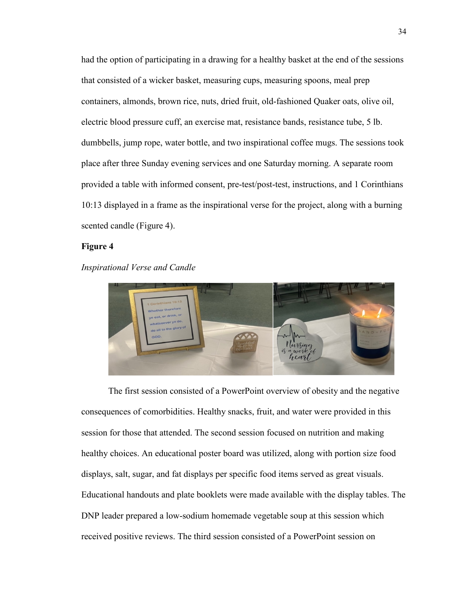had the option of participating in a drawing for a healthy basket at the end of the sessions that consisted of a wicker basket, measuring cups, measuring spoons, meal prep containers, almonds, brown rice, nuts, dried fruit, old-fashioned Quaker oats, olive oil, electric blood pressure cuff, an exercise mat, resistance bands, resistance tube, 5 lb. dumbbells, jump rope, water bottle, and two inspirational coffee mugs. The sessions took place after three Sunday evening services and one Saturday morning. A separate room provided a table with informed consent, pre-test/post-test, instructions, and 1 Corinthians 10:13 displayed in a frame as the inspirational verse for the project, along with a burning scented candle (Figure 4).

#### **Figure 4**

#### *Inspirational Verse and Candle*



The first session consisted of a PowerPoint overview of obesity and the negative consequences of comorbidities. Healthy snacks, fruit, and water were provided in this session for those that attended. The second session focused on nutrition and making healthy choices. An educational poster board was utilized, along with portion size food displays, salt, sugar, and fat displays per specific food items served as great visuals. Educational handouts and plate booklets were made available with the display tables. The DNP leader prepared a low-sodium homemade vegetable soup at this session which received positive reviews. The third session consisted of a PowerPoint session on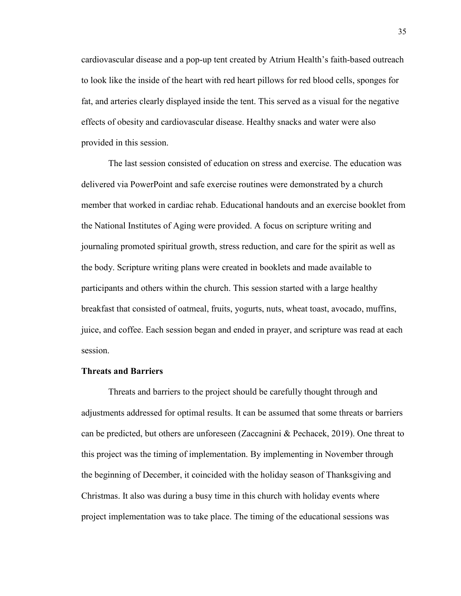cardiovascular disease and a pop-up tent created by Atrium Health's faith-based outreach to look like the inside of the heart with red heart pillows for red blood cells, sponges for fat, and arteries clearly displayed inside the tent. This served as a visual for the negative effects of obesity and cardiovascular disease. Healthy snacks and water were also provided in this session.

The last session consisted of education on stress and exercise. The education was delivered via PowerPoint and safe exercise routines were demonstrated by a church member that worked in cardiac rehab. Educational handouts and an exercise booklet from the National Institutes of Aging were provided. A focus on scripture writing and journaling promoted spiritual growth, stress reduction, and care for the spirit as well as the body. Scripture writing plans were created in booklets and made available to participants and others within the church. This session started with a large healthy breakfast that consisted of oatmeal, fruits, yogurts, nuts, wheat toast, avocado, muffins, juice, and coffee. Each session began and ended in prayer, and scripture was read at each session.

#### **Threats and Barriers**

Threats and barriers to the project should be carefully thought through and adjustments addressed for optimal results. It can be assumed that some threats or barriers can be predicted, but others are unforeseen (Zaccagnini & Pechacek, 2019). One threat to this project was the timing of implementation. By implementing in November through the beginning of December, it coincided with the holiday season of Thanksgiving and Christmas. It also was during a busy time in this church with holiday events where project implementation was to take place. The timing of the educational sessions was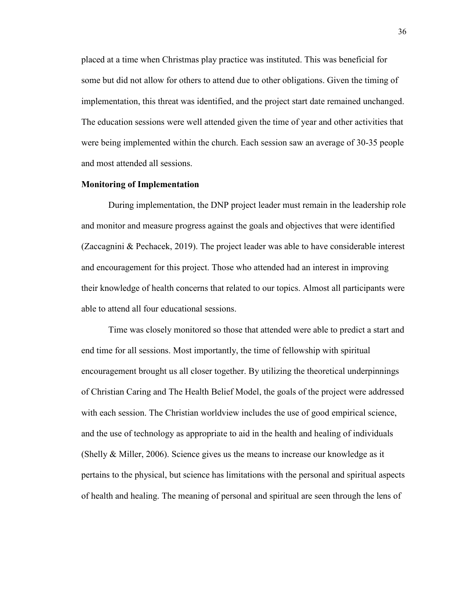placed at a time when Christmas play practice was instituted. This was beneficial for some but did not allow for others to attend due to other obligations. Given the timing of implementation, this threat was identified, and the project start date remained unchanged. The education sessions were well attended given the time of year and other activities that were being implemented within the church. Each session saw an average of 30-35 people and most attended all sessions.

#### **Monitoring of Implementation**

During implementation, the DNP project leader must remain in the leadership role and monitor and measure progress against the goals and objectives that were identified (Zaccagnini & Pechacek, 2019). The project leader was able to have considerable interest and encouragement for this project. Those who attended had an interest in improving their knowledge of health concerns that related to our topics. Almost all participants were able to attend all four educational sessions.

Time was closely monitored so those that attended were able to predict a start and end time for all sessions. Most importantly, the time of fellowship with spiritual encouragement brought us all closer together. By utilizing the theoretical underpinnings of Christian Caring and The Health Belief Model, the goals of the project were addressed with each session. The Christian worldview includes the use of good empirical science, and the use of technology as appropriate to aid in the health and healing of individuals (Shelly & Miller, 2006). Science gives us the means to increase our knowledge as it pertains to the physical, but science has limitations with the personal and spiritual aspects of health and healing. The meaning of personal and spiritual are seen through the lens of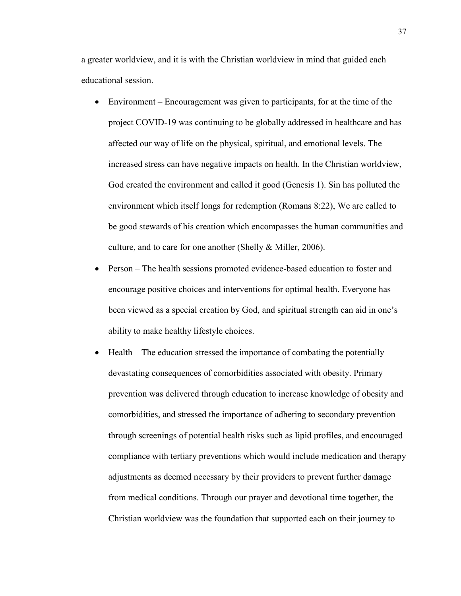a greater worldview, and it is with the Christian worldview in mind that guided each educational session.

- Environment Encouragement was given to participants, for at the time of the project COVID-19 was continuing to be globally addressed in healthcare and has affected our way of life on the physical, spiritual, and emotional levels. The increased stress can have negative impacts on health. In the Christian worldview, God created the environment and called it good (Genesis 1). Sin has polluted the environment which itself longs for redemption (Romans 8:22), We are called to be good stewards of his creation which encompasses the human communities and culture, and to care for one another (Shelly & Miller, 2006).
- Person The health sessions promoted evidence-based education to foster and encourage positive choices and interventions for optimal health. Everyone has been viewed as a special creation by God, and spiritual strength can aid in one's ability to make healthy lifestyle choices.
- Health The education stressed the importance of combating the potentially devastating consequences of comorbidities associated with obesity. Primary prevention was delivered through education to increase knowledge of obesity and comorbidities, and stressed the importance of adhering to secondary prevention through screenings of potential health risks such as lipid profiles, and encouraged compliance with tertiary preventions which would include medication and therapy adjustments as deemed necessary by their providers to prevent further damage from medical conditions. Through our prayer and devotional time together, the Christian worldview was the foundation that supported each on their journey to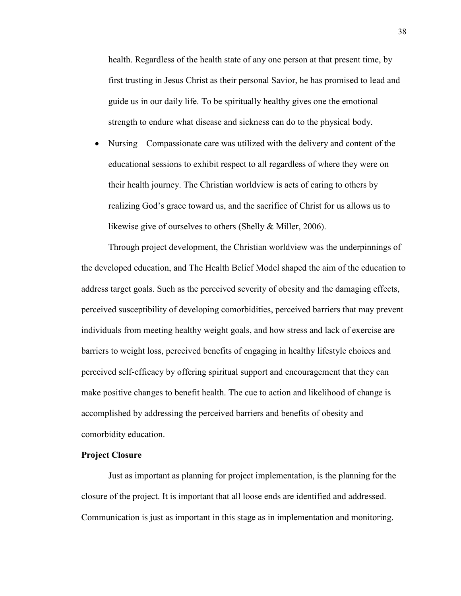health. Regardless of the health state of any one person at that present time, by first trusting in Jesus Christ as their personal Savior, he has promised to lead and guide us in our daily life. To be spiritually healthy gives one the emotional strength to endure what disease and sickness can do to the physical body.

• Nursing – Compassionate care was utilized with the delivery and content of the educational sessions to exhibit respect to all regardless of where they were on their health journey. The Christian worldview is acts of caring to others by realizing God's grace toward us, and the sacrifice of Christ for us allows us to likewise give of ourselves to others (Shelly & Miller, 2006).

Through project development, the Christian worldview was the underpinnings of the developed education, and The Health Belief Model shaped the aim of the education to address target goals. Such as the perceived severity of obesity and the damaging effects, perceived susceptibility of developing comorbidities, perceived barriers that may prevent individuals from meeting healthy weight goals, and how stress and lack of exercise are barriers to weight loss, perceived benefits of engaging in healthy lifestyle choices and perceived self-efficacy by offering spiritual support and encouragement that they can make positive changes to benefit health. The cue to action and likelihood of change is accomplished by addressing the perceived barriers and benefits of obesity and comorbidity education.

#### **Project Closure**

Just as important as planning for project implementation, is the planning for the closure of the project. It is important that all loose ends are identified and addressed. Communication is just as important in this stage as in implementation and monitoring.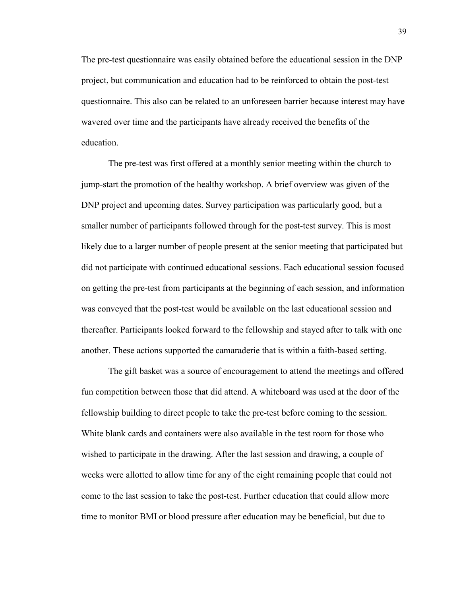The pre-test questionnaire was easily obtained before the educational session in the DNP project, but communication and education had to be reinforced to obtain the post-test questionnaire. This also can be related to an unforeseen barrier because interest may have wavered over time and the participants have already received the benefits of the education.

The pre-test was first offered at a monthly senior meeting within the church to jump-start the promotion of the healthy workshop. A brief overview was given of the DNP project and upcoming dates. Survey participation was particularly good, but a smaller number of participants followed through for the post-test survey. This is most likely due to a larger number of people present at the senior meeting that participated but did not participate with continued educational sessions. Each educational session focused on getting the pre-test from participants at the beginning of each session, and information was conveyed that the post-test would be available on the last educational session and thereafter. Participants looked forward to the fellowship and stayed after to talk with one another. These actions supported the camaraderie that is within a faith-based setting.

The gift basket was a source of encouragement to attend the meetings and offered fun competition between those that did attend. A whiteboard was used at the door of the fellowship building to direct people to take the pre-test before coming to the session. White blank cards and containers were also available in the test room for those who wished to participate in the drawing. After the last session and drawing, a couple of weeks were allotted to allow time for any of the eight remaining people that could not come to the last session to take the post-test. Further education that could allow more time to monitor BMI or blood pressure after education may be beneficial, but due to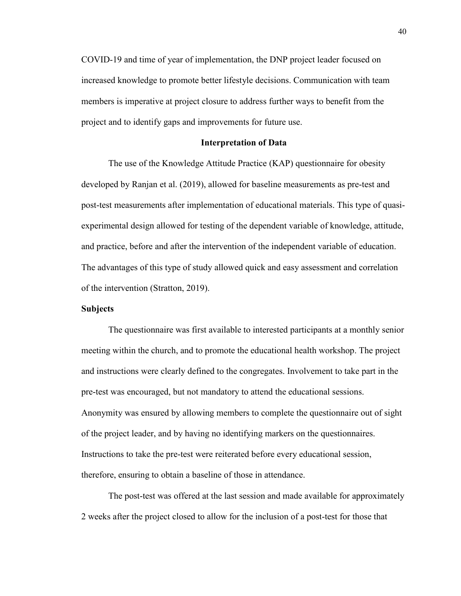COVID-19 and time of year of implementation, the DNP project leader focused on increased knowledge to promote better lifestyle decisions. Communication with team members is imperative at project closure to address further ways to benefit from the project and to identify gaps and improvements for future use.

#### **Interpretation of Data**

The use of the Knowledge Attitude Practice (KAP) questionnaire for obesity developed by Ranjan et al. (2019), allowed for baseline measurements as pre-test and post-test measurements after implementation of educational materials. This type of quasiexperimental design allowed for testing of the dependent variable of knowledge, attitude, and practice, before and after the intervention of the independent variable of education. The advantages of this type of study allowed quick and easy assessment and correlation of the intervention (Stratton, 2019).

#### **Subjects**

The questionnaire was first available to interested participants at a monthly senior meeting within the church, and to promote the educational health workshop. The project and instructions were clearly defined to the congregates. Involvement to take part in the pre-test was encouraged, but not mandatory to attend the educational sessions. Anonymity was ensured by allowing members to complete the questionnaire out of sight of the project leader, and by having no identifying markers on the questionnaires. Instructions to take the pre-test were reiterated before every educational session, therefore, ensuring to obtain a baseline of those in attendance.

The post-test was offered at the last session and made available for approximately 2 weeks after the project closed to allow for the inclusion of a post-test for those that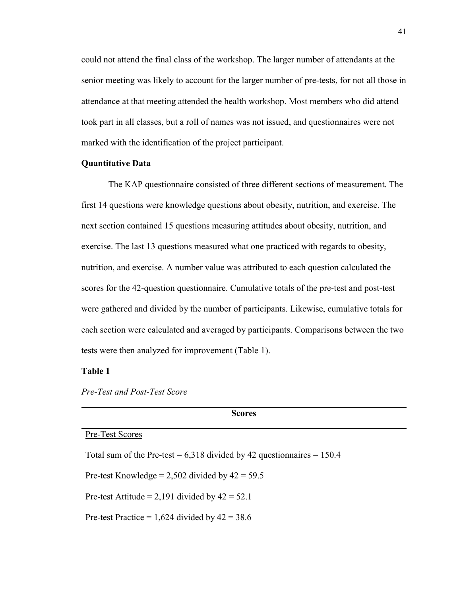could not attend the final class of the workshop. The larger number of attendants at the senior meeting was likely to account for the larger number of pre-tests, for not all those in attendance at that meeting attended the health workshop. Most members who did attend took part in all classes, but a roll of names was not issued, and questionnaires were not marked with the identification of the project participant.

#### **Quantitative Data**

The KAP questionnaire consisted of three different sections of measurement. The first 14 questions were knowledge questions about obesity, nutrition, and exercise. The next section contained 15 questions measuring attitudes about obesity, nutrition, and exercise. The last 13 questions measured what one practiced with regards to obesity, nutrition, and exercise. A number value was attributed to each question calculated the scores for the 42-question questionnaire. Cumulative totals of the pre-test and post-test were gathered and divided by the number of participants. Likewise, cumulative totals for each section were calculated and averaged by participants. Comparisons between the two tests were then analyzed for improvement (Table 1).

#### **Table 1**

*Pre-Test and Post-Test Score*

| www.co                                                                      |  |
|-----------------------------------------------------------------------------|--|
| Pre-Test Scores                                                             |  |
| Total sum of the Pre-test = $6,318$ divided by 42 question naires = $150.4$ |  |
| Pre-test Knowledge = 2,502 divided by $42 = 59.5$                           |  |
| Pre-test Attitude = 2,191 divided by $42 = 52.1$                            |  |
| Pre-test Practice = $1,624$ divided by $42 = 38.6$                          |  |
|                                                                             |  |

**Scores**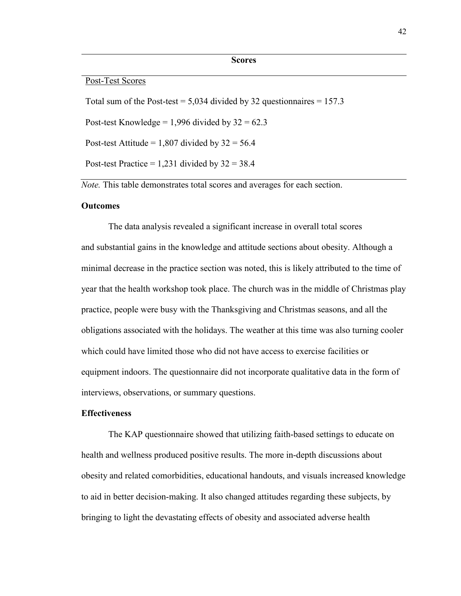#### **Scores**

#### Post-Test Scores

Total sum of the Post-test =  $5,034$  divided by 32 questionnaires = 157.3

Post-test Knowledge = 1,996 divided by  $32 = 62.3$ 

Post-test Attitude =  $1,807$  divided by  $32 = 56.4$ 

Post-test Practice =  $1,231$  divided by  $32 = 38.4$ 

*Note.* This table demonstrates total scores and averages for each section.

#### **Outcomes**

The data analysis revealed a significant increase in overall total scores and substantial gains in the knowledge and attitude sections about obesity. Although a minimal decrease in the practice section was noted, this is likely attributed to the time of year that the health workshop took place. The church was in the middle of Christmas play practice, people were busy with the Thanksgiving and Christmas seasons, and all the obligations associated with the holidays. The weather at this time was also turning cooler which could have limited those who did not have access to exercise facilities or equipment indoors. The questionnaire did not incorporate qualitative data in the form of interviews, observations, or summary questions.

#### **Effectiveness**

The KAP questionnaire showed that utilizing faith-based settings to educate on health and wellness produced positive results. The more in-depth discussions about obesity and related comorbidities, educational handouts, and visuals increased knowledge to aid in better decision-making. It also changed attitudes regarding these subjects, by bringing to light the devastating effects of obesity and associated adverse health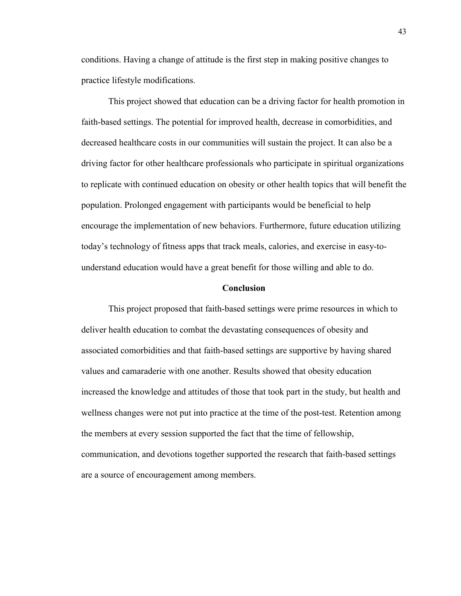conditions. Having a change of attitude is the first step in making positive changes to practice lifestyle modifications.

This project showed that education can be a driving factor for health promotion in faith-based settings. The potential for improved health, decrease in comorbidities, and decreased healthcare costs in our communities will sustain the project. It can also be a driving factor for other healthcare professionals who participate in spiritual organizations to replicate with continued education on obesity or other health topics that will benefit the population. Prolonged engagement with participants would be beneficial to help encourage the implementation of new behaviors. Furthermore, future education utilizing today's technology of fitness apps that track meals, calories, and exercise in easy-tounderstand education would have a great benefit for those willing and able to do.

#### **Conclusion**

This project proposed that faith-based settings were prime resources in which to deliver health education to combat the devastating consequences of obesity and associated comorbidities and that faith-based settings are supportive by having shared values and camaraderie with one another. Results showed that obesity education increased the knowledge and attitudes of those that took part in the study, but health and wellness changes were not put into practice at the time of the post-test. Retention among the members at every session supported the fact that the time of fellowship, communication, and devotions together supported the research that faith-based settings are a source of encouragement among members.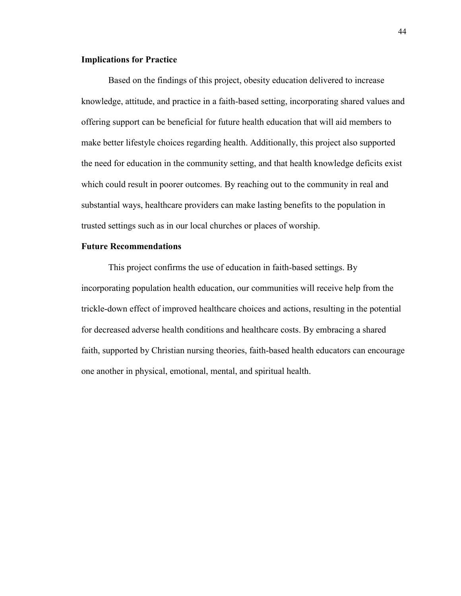#### **Implications for Practice**

Based on the findings of this project, obesity education delivered to increase knowledge, attitude, and practice in a faith-based setting, incorporating shared values and offering support can be beneficial for future health education that will aid members to make better lifestyle choices regarding health. Additionally, this project also supported the need for education in the community setting, and that health knowledge deficits exist which could result in poorer outcomes. By reaching out to the community in real and substantial ways, healthcare providers can make lasting benefits to the population in trusted settings such as in our local churches or places of worship.

### **Future Recommendations**

This project confirms the use of education in faith-based settings. By incorporating population health education, our communities will receive help from the trickle-down effect of improved healthcare choices and actions, resulting in the potential for decreased adverse health conditions and healthcare costs. By embracing a shared faith, supported by Christian nursing theories, faith-based health educators can encourage one another in physical, emotional, mental, and spiritual health.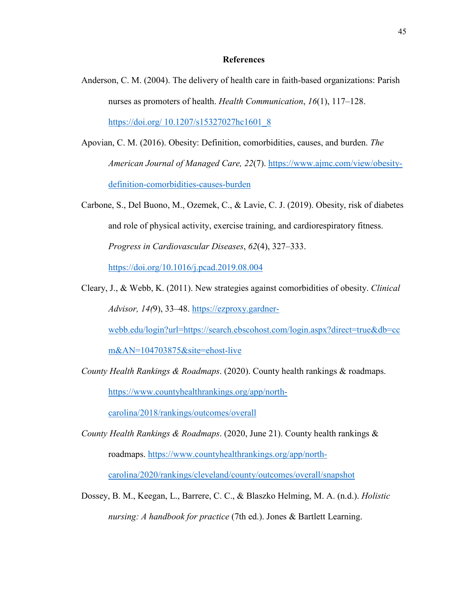#### **References**

- Anderson, C. M. (2004). The delivery of health care in faith-based organizations: Parish nurses as promoters of health. *Health Communication*, *16*(1), 117–128. [https://doi.org/ 10.1207/s15327027hc1601\\_8](https://doi.org/%2010.1207/s15327027hc1601_8)
- Apovian, C. M. (2016). Obesity: Definition, comorbidities, causes, and burden. *The American Journal of Managed Care, 22*(7). [https://www.ajmc.com/view/obesity](https://www.ajmc.com/view/obesity-definition-comorbidities-causes-burden)[definition-comorbidities-causes-burden](https://www.ajmc.com/view/obesity-definition-comorbidities-causes-burden)
- Carbone, S., Del Buono, M., Ozemek, C., & Lavie, C. J. (2019). Obesity, risk of diabetes and role of physical activity, exercise training, and cardiorespiratory fitness. *Progress in Cardiovascular Diseases*, *62*(4), 327–333. <https://doi.org/10.1016/j.pcad.2019.08.004>
- Cleary, J., & Webb, K. (2011). New strategies against comorbidities of obesity. *Clinical Advisor, 14(*9), 33–48. [https://ezproxy.gardner-](https://ezproxy.gardner-webb.edu/login?url=https://search.ebscohost.com/login.aspx?direct=true&db=ccm&AN=104703875&site=ehost-live)

[webb.edu/login?url=https://search.ebscohost.com/login.aspx?direct=true&db=cc](https://ezproxy.gardner-webb.edu/login?url=https://search.ebscohost.com/login.aspx?direct=true&db=ccm&AN=104703875&site=ehost-live)

[m&AN=104703875&site=ehost-live](https://ezproxy.gardner-webb.edu/login?url=https://search.ebscohost.com/login.aspx?direct=true&db=ccm&AN=104703875&site=ehost-live)

*County Health Rankings & Roadmaps*. (2020). County health rankings & roadmaps. [https://www.countyhealthrankings.org/app/north-](https://www.countyhealthrankings.org/app/north-carolina/2018/rankings/outcomes/overall)

[carolina/2018/rankings/outcomes/overall](https://www.countyhealthrankings.org/app/north-carolina/2018/rankings/outcomes/overall)

*County Health Rankings & Roadmaps*. (2020, June 21). County health rankings & roadmaps. [https://www.countyhealthrankings.org/app/north-](https://www.countyhealthrankings.org/app/north-carolina/2020/rankings/cleveland/county/outcomes/overall/snapshot)

[carolina/2020/rankings/cleveland/county/outcomes/overall/snapshot](https://www.countyhealthrankings.org/app/north-carolina/2020/rankings/cleveland/county/outcomes/overall/snapshot)

Dossey, B. M., Keegan, L., Barrere, C. C., & Blaszko Helming, M. A. (n.d.). *Holistic nursing: A handbook for practice* (7th ed.). Jones & Bartlett Learning.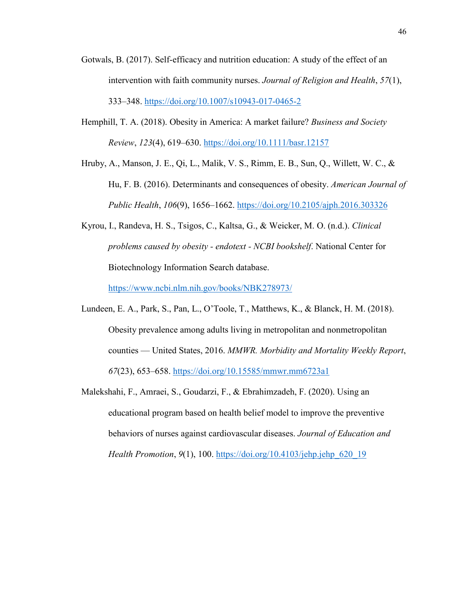- Gotwals, B. (2017). Self-efficacy and nutrition education: A study of the effect of an intervention with faith community nurses. *Journal of Religion and Health*, *57*(1), 333–348.<https://doi.org/10.1007/s10943-017-0465-2>
- Hemphill, T. A. (2018). Obesity in America: A market failure? *Business and Society Review*, *123*(4), 619–630.<https://doi.org/10.1111/basr.12157>
- Hruby, A., Manson, J. E., Qi, L., Malik, V. S., Rimm, E. B., Sun, Q., Willett, W. C., & Hu, F. B. (2016). Determinants and consequences of obesity. *American Journal of Public Health*, *106*(9), 1656–1662.<https://doi.org/10.2105/ajph.2016.303326>
- Kyrou, I., Randeva, H. S., Tsigos, C., Kaltsa, G., & Weicker, M. O. (n.d.). *Clinical problems caused by obesity - endotext - NCBI bookshelf*. National Center for Biotechnology Information Search database.

<https://www.ncbi.nlm.nih.gov/books/NBK278973/>

- Lundeen, E. A., Park, S., Pan, L., O'Toole, T., Matthews, K., & Blanck, H. M. (2018). Obesity prevalence among adults living in metropolitan and nonmetropolitan counties — United States, 2016. *MMWR. Morbidity and Mortality Weekly Report*, *67*(23), 653–658.<https://doi.org/10.15585/mmwr.mm6723a1>
- Malekshahi, F., Amraei, S., Goudarzi, F., & Ebrahimzadeh, F. (2020). Using an educational program based on health belief model to improve the preventive behaviors of nurses against cardiovascular diseases. *Journal of Education and Health Promotion*, 9(1), 100. [https://doi.org/10.4103/jehp.jehp\\_620\\_19](https://nam11.safelinks.protection.outlook.com/?url=https%3A%2F%2Fdoi.org%2F10.4103%2Fjehp.jehp_620_19&data=04%7C01%7Cmdavis26%40gardner-webb.edu%7Ca90ca0802a6447187baf08da081208e3%7Cb75d79c569584457972cfe8241c63355%7C0%7C0%7C637831170792912640%7CUnknown%7CTWFpbGZsb3d8eyJWIjoiMC4wLjAwMDAiLCJQIjoiV2luMzIiLCJBTiI6Ik1haWwiLCJXVCI6Mn0%3D%7C3000&sdata=dQlT7AbSgMPU4Z3nBn3srAeoA%2BW%2B9TJHW%2FqX2tvZS8A%3D&reserved=0)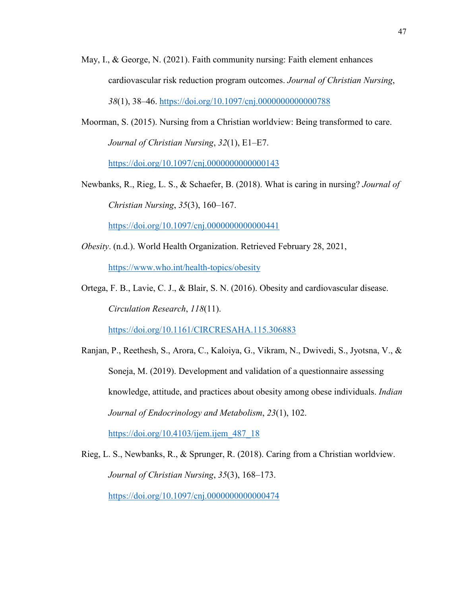- May, I., & George, N. (2021). Faith community nursing: Faith element enhances cardiovascular risk reduction program outcomes. *Journal of Christian Nursing*, *38*(1), 38–46.<https://doi.org/10.1097/cnj.0000000000000788>
- Moorman, S. (2015). Nursing from a Christian worldview: Being transformed to care. *Journal of Christian Nursing*, *32*(1), E1–E7. <https://doi.org/10.1097/cnj.0000000000000143>
- Newbanks, R., Rieg, L. S., & Schaefer, B. (2018). What is caring in nursing? *Journal of Christian Nursing*, *35*(3), 160–167.

<https://doi.org/10.1097/cnj.0000000000000441>

- *Obesity*. (n.d.). World Health Organization. Retrieved February 28, 2021, <https://www.who.int/health-topics/obesity>
- Ortega, F. B., Lavie, C. J., & Blair, S. N. (2016). Obesity and cardiovascular disease. *Circulation Research*, *118*(11).

<https://doi.org/10.1161/CIRCRESAHA.115.306883>

- Ranjan, P., Reethesh, S., Arora, C., Kaloiya, G., Vikram, N., Dwivedi, S., Jyotsna, V., & Soneja, M. (2019). Development and validation of a questionnaire assessing knowledge, attitude, and practices about obesity among obese individuals. *Indian Journal of Endocrinology and Metabolism*, *23*(1), 102. https://doi.org/10.4103/ijem.ijem $487$  18
- Rieg, L. S., Newbanks, R., & Sprunger, R. (2018). Caring from a Christian worldview. *Journal of Christian Nursing*, *35*(3), 168–173. <https://doi.org/10.1097/cnj.0000000000000474>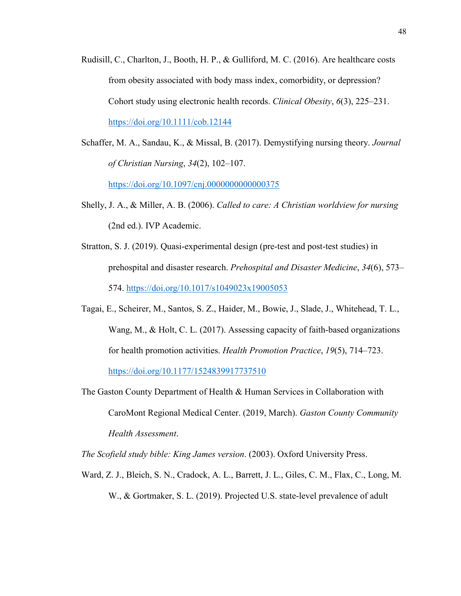- Rudisill, C., Charlton, J., Booth, H. P., & Gulliford, M. C. (2016). Are healthcare costs from obesity associated with body mass index, comorbidity, or depression? Cohort study using electronic health records. *Clinical Obesity*, *6*(3), 225–231. <https://doi.org/10.1111/cob.12144>
- Schaffer, M. A., Sandau, K., & Missal, B. (2017). Demystifying nursing theory. *Journal of Christian Nursing*, *34*(2), 102–107. <https://doi.org/10.1097/cnj.0000000000000375>

Shelly, J. A., & Miller, A. B. (2006). *Called to care: A Christian worldview for nursing* (2nd ed.). IVP Academic.

- Stratton, S. J. (2019). Quasi-experimental design (pre-test and post-test studies) in prehospital and disaster research. *Prehospital and Disaster Medicine*, *34*(6), 573– 574.<https://doi.org/10.1017/s1049023x19005053>
- Tagai, E., Scheirer, M., Santos, S. Z., Haider, M., Bowie, J., Slade, J., Whitehead, T. L., Wang, M., & Holt, C. L. (2017). Assessing capacity of faith-based organizations for health promotion activities. *Health Promotion Practice*, *19*(5), 714–723. <https://doi.org/10.1177/1524839917737510>
- The Gaston County Department of Health & Human Services in Collaboration with CaroMont Regional Medical Center. (2019, March). *Gaston County Community Health Assessment*.

*The Scofield study bible: King James version*. (2003). Oxford University Press.

Ward, Z. J., Bleich, S. N., Cradock, A. L., Barrett, J. L., Giles, C. M., Flax, C., Long, M. W., & Gortmaker, S. L. (2019). Projected U.S. state-level prevalence of adult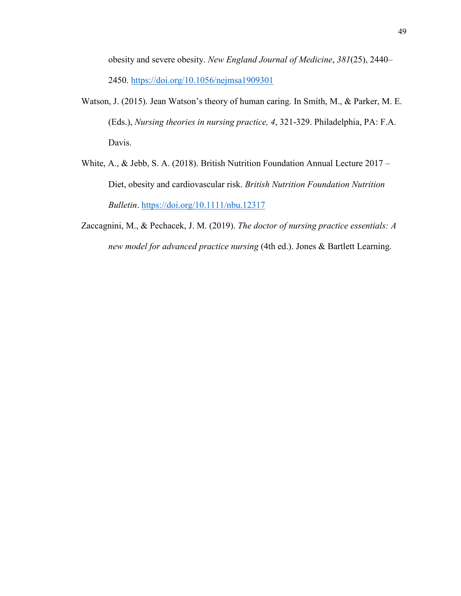obesity and severe obesity. *New England Journal of Medicine*, *381*(25), 2440– 2450.<https://doi.org/10.1056/nejmsa1909301>

- Watson, J. (2015). Jean Watson's theory of human caring. In Smith, M., & Parker, M. E. (Eds.), *Nursing theories in nursing practice, 4*, 321-329. Philadelphia, PA: F.A. Davis.
- White, A., & Jebb, S. A. (2018). British Nutrition Foundation Annual Lecture 2017 Diet, obesity and cardiovascular risk. *British Nutrition Foundation Nutrition Bulletin*.<https://doi.org/10.1111/nbu.12317>
- Zaccagnini, M., & Pechacek, J. M. (2019). *The doctor of nursing practice essentials: A new model for advanced practice nursing* (4th ed.). Jones & Bartlett Learning.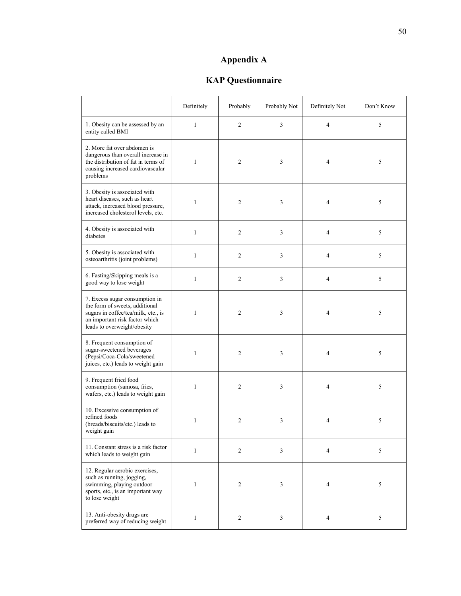## **Appendix A**

## **KAP Questionnaire**

|                                                                                                                                                                          | Definitely   | Probably       | Probably Not | Definitely Not | Don't Know |
|--------------------------------------------------------------------------------------------------------------------------------------------------------------------------|--------------|----------------|--------------|----------------|------------|
| 1. Obesity can be assessed by an<br>entity called BMI                                                                                                                    | $\mathbf{1}$ | 2              | 3            | $\overline{4}$ | 5          |
| 2. More fat over abdomen is<br>dangerous than overall increase in<br>the distribution of fat in terms of<br>causing increased cardiovascular<br>problems                 | 1            | $\overline{c}$ | 3            | $\overline{4}$ | 5          |
| 3. Obesity is associated with<br>heart diseases, such as heart<br>attack, increased blood pressure,<br>increased cholesterol levels, etc.                                | $\mathbf{1}$ | 2              | 3            | $\overline{4}$ | 5          |
| 4. Obesity is associated with<br>diabetes                                                                                                                                | $\mathbf{1}$ | $\mathfrak{2}$ | 3            | $\overline{4}$ | $\sqrt{5}$ |
| 5. Obesity is associated with<br>osteoarthritis (joint problems)                                                                                                         | $\mathbf{1}$ | $\sqrt{2}$     | 3            | $\overline{4}$ | 5          |
| 6. Fasting/Skipping meals is a<br>good way to lose weight                                                                                                                | $\mathbf{1}$ | 2              | 3            | $\overline{4}$ | 5          |
| 7. Excess sugar consumption in<br>the form of sweets, additional<br>sugars in coffee/tea/milk, etc., is<br>an important risk factor which<br>leads to overweight/obesity | 1            | $\overline{2}$ | 3            | $\overline{4}$ | 5          |
| 8. Frequent consumption of<br>sugar-sweetened beverages<br>(Pepsi/Coca-Cola/sweetened<br>juices, etc.) leads to weight gain                                              | $\mathbf{1}$ | $\mathfrak{2}$ | 3            | $\overline{4}$ | 5          |
| 9. Frequent fried food<br>consumption (samosa, fries,<br>wafers, etc.) leads to weight gain                                                                              | $\mathbf{1}$ | $\mathfrak{2}$ | 3            | $\overline{4}$ | 5          |
| 10. Excessive consumption of<br>refined foods<br>(breads/biscuits/etc.) leads to<br>weight gain                                                                          | 1            | 2              | 3            | $\overline{4}$ | 5          |
| 11. Constant stress is a risk factor<br>which leads to weight gain                                                                                                       | $\mathbf{1}$ | $\overline{2}$ | 3            | $\overline{4}$ | 5          |
| 12. Regular aerobic exercises,<br>such as running, jogging,<br>swimming, playing outdoor<br>sports, etc., is an important way<br>to lose weight                          | $\mathbf{1}$ | $\overline{c}$ | 3            | 4              | $\sqrt{5}$ |
| 13. Anti-obesity drugs are<br>preferred way of reducing weight                                                                                                           | $\mathbf{1}$ | $\overline{2}$ | 3            | $\overline{4}$ | 5          |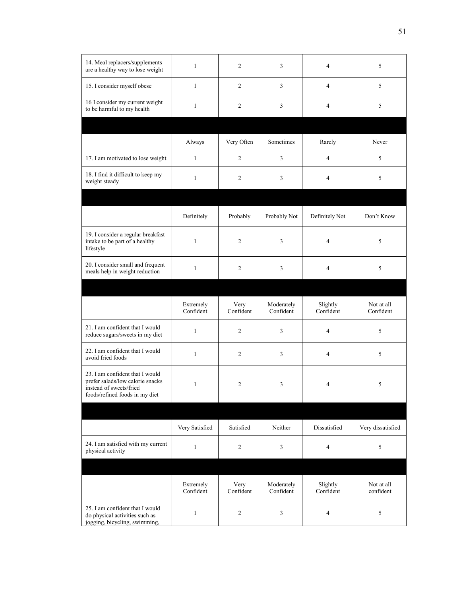| 14. Meal replacers/supplements<br>are a healthy way to lose weight                                                               | $\mathbf{1}$           | $\mathfrak{2}$    | 3                       | $\overline{4}$        | 5                       |
|----------------------------------------------------------------------------------------------------------------------------------|------------------------|-------------------|-------------------------|-----------------------|-------------------------|
| 15. I consider myself obese                                                                                                      | $\mathbf{1}$           | 2                 | 3                       | $\overline{4}$        | 5                       |
| 16 I consider my current weight<br>to be harmful to my health                                                                    | $\mathbf{1}$           | 2                 | 3                       | $\overline{4}$        | 5                       |
|                                                                                                                                  |                        |                   |                         |                       |                         |
|                                                                                                                                  | Always                 | Very Often        | Sometimes               | Rarely                | Never                   |
| 17. I am motivated to lose weight                                                                                                | 1                      | 2                 | 3                       | $\overline{4}$        | 5                       |
| 18. I find it difficult to keep my<br>weight steady                                                                              | $\mathbf{1}$           | 2                 | 3                       | $\overline{4}$        | 5                       |
|                                                                                                                                  |                        |                   |                         |                       |                         |
|                                                                                                                                  | Definitely             | Probably          | Probably Not            | Definitely Not        | Don't Know              |
| 19. I consider a regular breakfast<br>intake to be part of a healthy<br>lifestyle                                                | $\mathbf{1}$           | 2                 | 3                       | 4                     | 5                       |
| 20. I consider small and frequent<br>meals help in weight reduction                                                              | $\mathbf{1}$           | 2                 | 3                       | $\overline{4}$        | 5                       |
|                                                                                                                                  |                        |                   |                         |                       |                         |
|                                                                                                                                  | Extremely<br>Confident | Very<br>Confident | Moderately<br>Confident | Slightly<br>Confident | Not at all<br>Confident |
| 21. I am confident that I would<br>reduce sugars/sweets in my diet                                                               | $\mathbf{1}$           | 2                 | 3                       | $\overline{4}$        | 5                       |
| 22. I am confident that I would<br>avoid fried foods                                                                             | $\mathbf{1}$           | 2                 | 3                       | $\overline{4}$        | 5                       |
| 23. I am confident that I would<br>prefer salads/low calorie snacks<br>instead of sweets/fried<br>foods/refined foods in my diet | $\mathbf{1}$           | $\overline{2}$    | 3                       | $\overline{4}$        | 5                       |
|                                                                                                                                  |                        |                   |                         |                       |                         |
|                                                                                                                                  | Very Satisfied         | Satisfied         | Neither                 | Dissatisfied          | Very dissatisfied       |
| 24. I am satisfied with my current<br>physical activity                                                                          | $\mathbf{1}$           | 2                 | 3                       | 4                     | 5                       |
|                                                                                                                                  |                        |                   |                         |                       |                         |
|                                                                                                                                  | Extremely<br>Confident | Very<br>Confident | Moderately<br>Confident | Slightly<br>Confident | Not at all<br>confident |
| 25. I am confident that I would<br>do physical activities such as<br>jogging, bicycling, swimming,                               | $\mathbf{1}$           | 2                 | 3                       | $\overline{4}$        | 5                       |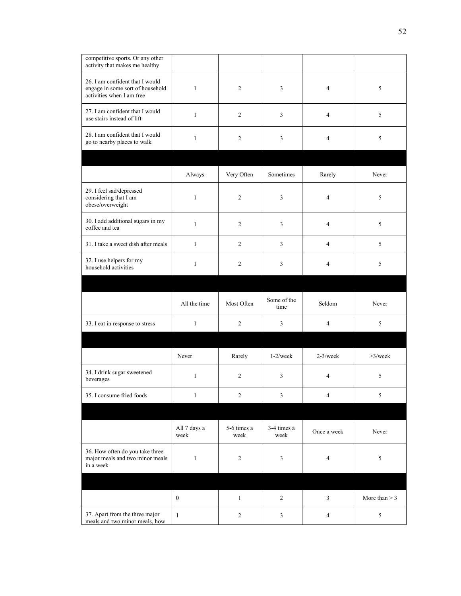| competitive sports. Or any other<br>activity that makes me healthy                               |                      |                     |                     |                |                 |
|--------------------------------------------------------------------------------------------------|----------------------|---------------------|---------------------|----------------|-----------------|
| 26. I am confident that I would<br>engage in some sort of household<br>activities when I am free | $\mathbf{1}$         | 2                   | 3                   | $\overline{4}$ | 5               |
| 27. I am confident that I would<br>use stairs instead of lift                                    | $\mathbf{1}$         | 2                   | 3                   | $\overline{4}$ | 5               |
| 28. I am confident that I would<br>go to nearby places to walk                                   | $\mathbf{1}$         | 2                   | 3                   | $\overline{4}$ | 5               |
|                                                                                                  |                      |                     |                     |                |                 |
|                                                                                                  | Always               | Very Often          | Sometimes           | Rarely         | Never           |
| 29. I feel sad/depressed<br>considering that I am<br>obese/overweight                            | $\mathbf{1}$         | 2                   | 3                   | $\overline{4}$ | 5               |
| 30. I add additional sugars in my<br>coffee and tea                                              | $\mathbf{1}$         | $\overline{2}$      | 3                   | $\overline{4}$ | 5               |
| 31. I take a sweet dish after meals                                                              | $\mathbf{1}$         | $\overline{2}$      | 3                   | $\overline{4}$ | 5               |
| 32. I use helpers for my<br>household activities                                                 | $\mathbf{1}$         | 2                   | 3                   | $\overline{4}$ | 5               |
|                                                                                                  |                      |                     |                     |                |                 |
|                                                                                                  |                      |                     |                     |                |                 |
|                                                                                                  | All the time         | Most Often          | Some of the<br>time | Seldom         | Never           |
| 33. I eat in response to stress                                                                  | $\mathbf{1}$         | $\overline{2}$      | 3                   | $\overline{4}$ | $\sqrt{5}$      |
|                                                                                                  |                      |                     |                     |                |                 |
|                                                                                                  | Never                | Rarely              | $1-2$ /week         | $2-3$ /week    | $>3$ /week      |
| 34. I drink sugar sweetened<br>beverages                                                         | $\mathbf{1}$         | $\overline{2}$      | 3                   | $\overline{4}$ | 5               |
| 35. I consume fried foods                                                                        | $\,1$                | $\sqrt{2}$          | 3                   | $\overline{4}$ | $\sqrt{5}$      |
|                                                                                                  |                      |                     |                     |                |                 |
|                                                                                                  | All 7 days a<br>week | 5-6 times a<br>week | 3-4 times a<br>week | Once a week    | Never           |
| 36. How often do you take three<br>major meals and two minor meals<br>in a week                  | $\mathbf{1}$         | $\sqrt{2}$          | 3                   | $\overline{4}$ | $\sqrt{5}$      |
|                                                                                                  |                      |                     |                     |                |                 |
|                                                                                                  | $\boldsymbol{0}$     | $\mathbf{1}$        | $\overline{c}$      | $\mathfrak{Z}$ | More than $> 3$ |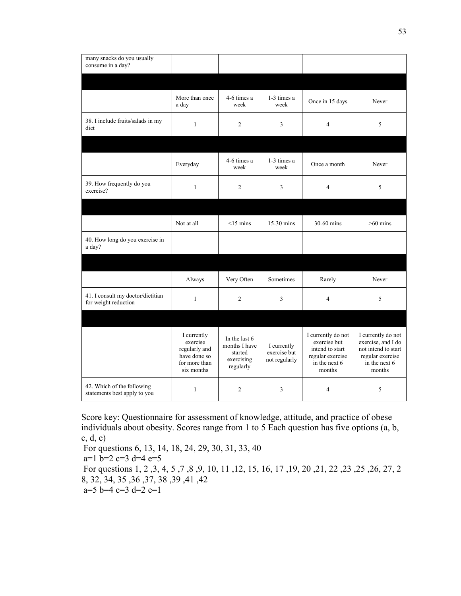| many snacks do you usually<br>consume in a day?            |                                                                                                                                                                 |                     |                                              |                                                                                                      |                                                                                                                |
|------------------------------------------------------------|-----------------------------------------------------------------------------------------------------------------------------------------------------------------|---------------------|----------------------------------------------|------------------------------------------------------------------------------------------------------|----------------------------------------------------------------------------------------------------------------|
|                                                            |                                                                                                                                                                 |                     |                                              |                                                                                                      |                                                                                                                |
|                                                            | More than once<br>a day                                                                                                                                         | 4-6 times a<br>week | 1-3 times a<br>week                          | Once in 15 days                                                                                      | Never                                                                                                          |
| 38. I include fruits/salads in my<br>diet                  | $\mathbf{1}$                                                                                                                                                    | $\overline{2}$      | 3                                            | $\overline{4}$                                                                                       | 5                                                                                                              |
|                                                            |                                                                                                                                                                 |                     |                                              |                                                                                                      |                                                                                                                |
|                                                            | Everyday                                                                                                                                                        | 4-6 times a<br>week | 1-3 times a<br>week                          | Once a month                                                                                         | Never                                                                                                          |
| 39. How frequently do you<br>exercise?                     | $\mathbf{1}$                                                                                                                                                    | 2                   | 3                                            | $\overline{4}$                                                                                       | 5                                                                                                              |
|                                                            |                                                                                                                                                                 |                     |                                              |                                                                                                      |                                                                                                                |
|                                                            | Not at all                                                                                                                                                      | $<15$ mins          | $15-30$ mins                                 | $30-60$ mins                                                                                         | $>60$ mins                                                                                                     |
| 40. How long do you exercise in<br>a day?                  |                                                                                                                                                                 |                     |                                              |                                                                                                      |                                                                                                                |
|                                                            | Always                                                                                                                                                          | Very Often          | Sometimes                                    | Rarely                                                                                               | Never                                                                                                          |
| 41. I consult my doctor/dietitian<br>for weight reduction  | $\mathbf{1}$                                                                                                                                                    | $\overline{c}$      | 3                                            | $\overline{4}$                                                                                       | 5                                                                                                              |
|                                                            |                                                                                                                                                                 |                     |                                              |                                                                                                      |                                                                                                                |
|                                                            | I currently<br>In the last 6<br>exercise<br>months I have<br>regularly and<br>started<br>have done so<br>exercising<br>for more than<br>regularly<br>six months |                     | I currently<br>exercise but<br>not regularly | I currently do not<br>exercise but<br>intend to start<br>regular exercise<br>in the next 6<br>months | I currently do not<br>exercise, and I do<br>not intend to start<br>regular exercise<br>in the next 6<br>months |
| 42. Which of the following<br>statements best apply to you | $\mathbf{1}$                                                                                                                                                    | 2                   | 3                                            | 4                                                                                                    | 5                                                                                                              |

Score key: Questionnaire for assessment of knowledge, attitude, and practice of obese individuals about obesity. Scores range from 1 to 5 Each question has five options (a, b, c, d, e)

For questions 6, 13, 14, 18, 24, 29, 30, 31, 33, 40 a=1 b=2 c=3 d=4 e=5 For questions 1, 2 ,3, 4, 5 ,7 ,8 ,9, 10, 11 ,12, 15, 16, 17 ,19, 20 ,21, 22 ,23 ,25 ,26, 27, 2 8, 32, 34, 35 ,36 ,37, 38 ,39 ,41 ,42  $a=5$  b=4 c=3 d=2 e=1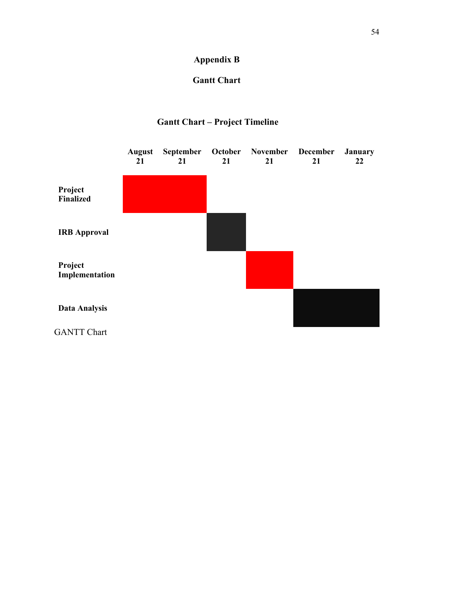## **Appendix B**

### **Gantt Chart**

## **Gantt Chart – Project Timeline**

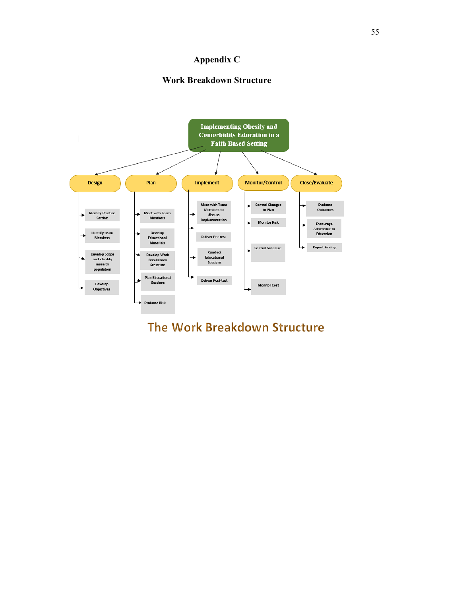### **Appendix C**

#### **Work Breakdown Structure**



# The Work Breakdown Structure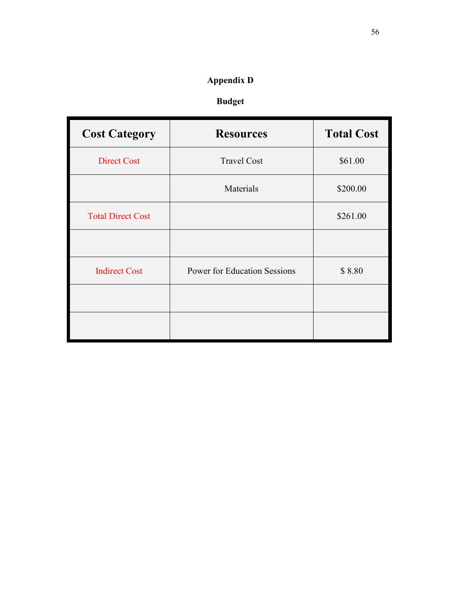## **Appendix D**

## **Budget**

| <b>Cost Category</b>     | <b>Resources</b>                    | <b>Total Cost</b> |
|--------------------------|-------------------------------------|-------------------|
| <b>Direct Cost</b>       | <b>Travel Cost</b>                  | \$61.00           |
|                          | Materials                           | \$200.00          |
| <b>Total Direct Cost</b> |                                     | \$261.00          |
|                          |                                     |                   |
| <b>Indirect Cost</b>     | <b>Power for Education Sessions</b> | \$8.80            |
|                          |                                     |                   |
|                          |                                     |                   |